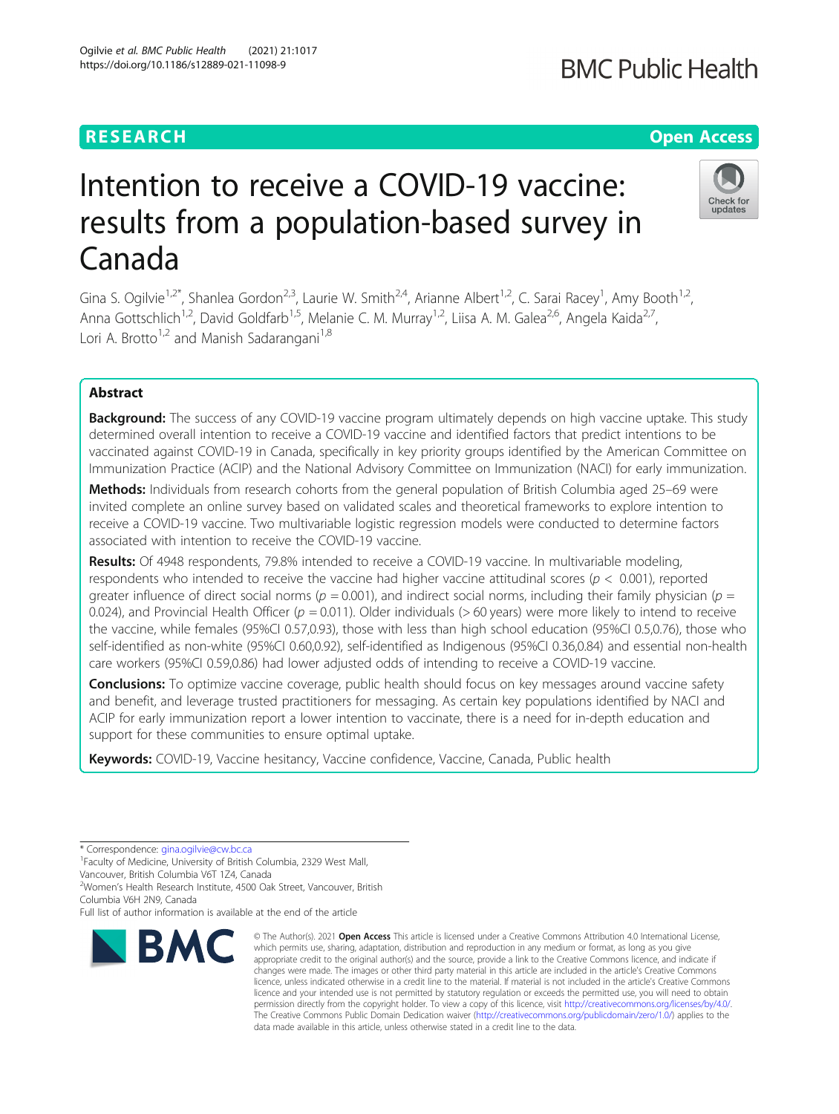# **RESEARCH CHEAR CHEAR CHEAR CHEAR CHEAR CHEAR CHEAR CHEAR CHEAR CHEAR CHEAR CHEAR CHEAR CHEAR CHEAR CHEAR CHEAR**

# Intention to receive a COVID-19 vaccine: results from a population-based survey in Canada

Gina S. Ogilvie<sup>1,2\*</sup>, Shanlea Gordon<sup>2,3</sup>, Laurie W. Smith<sup>2,4</sup>, Arianne Albert<sup>1,2</sup>, C. Sarai Racey<sup>1</sup>, Amy Booth<sup>1,2</sup>, Anna Gottschlich<sup>1,2</sup>, David Goldfarb<sup>1,5</sup>, Melanie C. M. Murray<sup>1,2</sup>, Liisa A. M. Galea<sup>2,6</sup>, Angela Kaida<sup>2,7</sup>, Lori A. Brotto<sup>1,2</sup> and Manish Sadarangani<sup>1,8</sup>

# Abstract

**Background:** The success of any COVID-19 vaccine program ultimately depends on high vaccine uptake. This study determined overall intention to receive a COVID-19 vaccine and identified factors that predict intentions to be vaccinated against COVID-19 in Canada, specifically in key priority groups identified by the American Committee on Immunization Practice (ACIP) and the National Advisory Committee on Immunization (NACI) for early immunization.

Methods: Individuals from research cohorts from the general population of British Columbia aged 25–69 were invited complete an online survey based on validated scales and theoretical frameworks to explore intention to receive a COVID-19 vaccine. Two multivariable logistic regression models were conducted to determine factors associated with intention to receive the COVID-19 vaccine.

Results: Of 4948 respondents, 79.8% intended to receive a COVID-19 vaccine. In multivariable modeling, respondents who intended to receive the vaccine had higher vaccine attitudinal scores ( $p < 0.001$ ), reported greater influence of direct social norms ( $p = 0.001$ ), and indirect social norms, including their family physician ( $p =$ 0.024), and Provincial Health Officer ( $p = 0.011$ ). Older individuals ( $> 60$  years) were more likely to intend to receive the vaccine, while females (95%CI 0.57,0.93), those with less than high school education (95%CI 0.5,0.76), those who self-identified as non-white (95%CI 0.60,0.92), self-identified as Indigenous (95%CI 0.36,0.84) and essential non-health care workers (95%CI 0.59,0.86) had lower adjusted odds of intending to receive a COVID-19 vaccine.

**Conclusions:** To optimize vaccine coverage, public health should focus on key messages around vaccine safety and benefit, and leverage trusted practitioners for messaging. As certain key populations identified by NACI and ACIP for early immunization report a lower intention to vaccinate, there is a need for in-depth education and support for these communities to ensure optimal uptake.

Keywords: COVID-19, Vaccine hesitancy, Vaccine confidence, Vaccine, Canada, Public health

\* Correspondence: [gina.ogilvie@cw.bc.ca](mailto:gina.ogilvie@cw.bc.ca) <sup>1</sup>

<sup>1</sup> Faculty of Medicine, University of British Columbia, 2329 West Mall,

Vancouver, British Columbia V6T 1Z4, Canada

<sup>2</sup>Women's Health Research Institute, 4500 Oak Street, Vancouver, British

Columbia V6H 2N9, Canada

Full list of author information is available at the end of the article



<sup>©</sup> The Author(s), 2021 **Open Access** This article is licensed under a Creative Commons Attribution 4.0 International License, which permits use, sharing, adaptation, distribution and reproduction in any medium or format, as long as you give appropriate credit to the original author(s) and the source, provide a link to the Creative Commons licence, and indicate if changes were made. The images or other third party material in this article are included in the article's Creative Commons licence, unless indicated otherwise in a credit line to the material. If material is not included in the article's Creative Commons licence and your intended use is not permitted by statutory regulation or exceeds the permitted use, you will need to obtain permission directly from the copyright holder. To view a copy of this licence, visit [http://creativecommons.org/licenses/by/4.0/.](http://creativecommons.org/licenses/by/4.0/) The Creative Commons Public Domain Dedication waiver [\(http://creativecommons.org/publicdomain/zero/1.0/](http://creativecommons.org/publicdomain/zero/1.0/)) applies to the data made available in this article, unless otherwise stated in a credit line to the data.



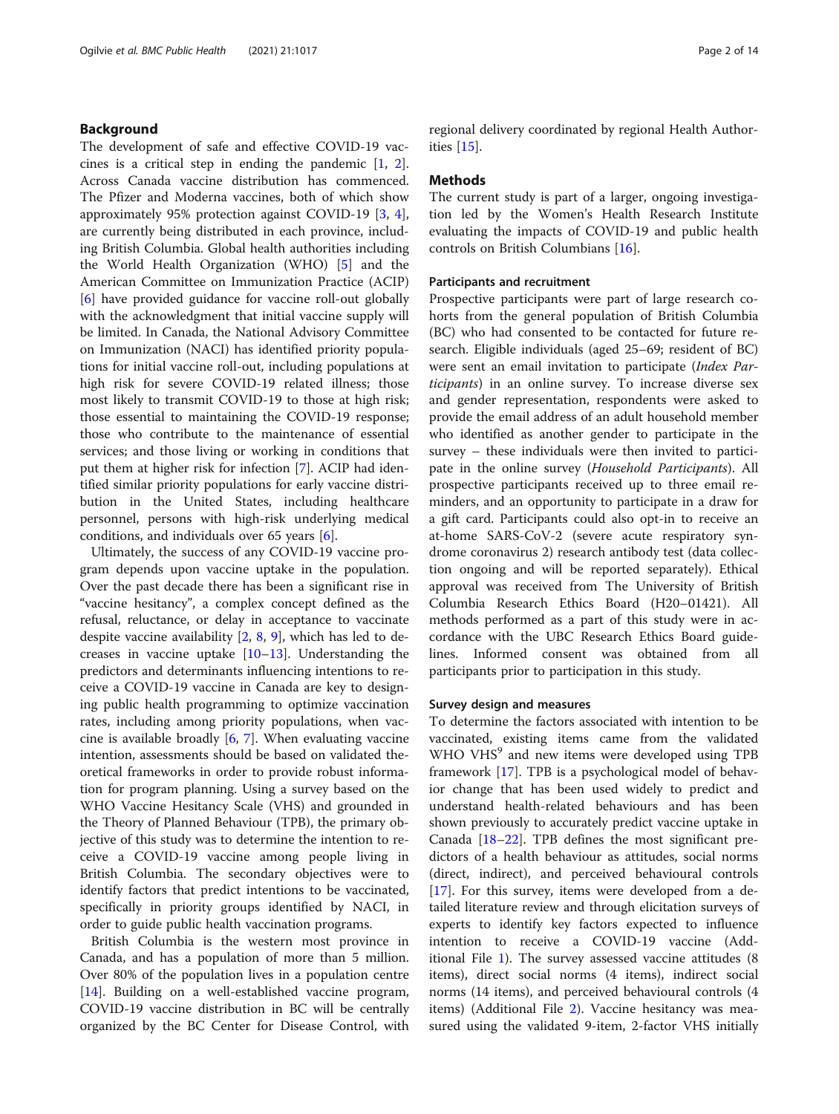# Background

The development of safe and effective COVID-19 vaccines is a critical step in ending the pandemic [\[1](#page-12-0), [2](#page-12-0)]. Across Canada vaccine distribution has commenced. The Pfizer and Moderna vaccines, both of which show approximately 95% protection against COVID-19 [\[3](#page-12-0), [4](#page-12-0)], are currently being distributed in each province, including British Columbia. Global health authorities including the World Health Organization (WHO) [\[5](#page-12-0)] and the American Committee on Immunization Practice (ACIP) [[6\]](#page-12-0) have provided guidance for vaccine roll-out globally with the acknowledgment that initial vaccine supply will be limited. In Canada, the National Advisory Committee on Immunization (NACI) has identified priority populations for initial vaccine roll-out, including populations at high risk for severe COVID-19 related illness; those most likely to transmit COVID-19 to those at high risk; those essential to maintaining the COVID-19 response; those who contribute to the maintenance of essential services; and those living or working in conditions that put them at higher risk for infection [\[7](#page-12-0)]. ACIP had identified similar priority populations for early vaccine distribution in the United States, including healthcare personnel, persons with high-risk underlying medical conditions, and individuals over 65 years [[6\]](#page-12-0).

Ultimately, the success of any COVID-19 vaccine program depends upon vaccine uptake in the population. Over the past decade there has been a significant rise in "vaccine hesitancy", a complex concept defined as the refusal, reluctance, or delay in acceptance to vaccinate despite vaccine availability [[2,](#page-12-0) [8,](#page-12-0) [9](#page-12-0)], which has led to decreases in vaccine uptake [[10](#page-12-0)–[13](#page-12-0)]. Understanding the predictors and determinants influencing intentions to receive a COVID-19 vaccine in Canada are key to designing public health programming to optimize vaccination rates, including among priority populations, when vaccine is available broadly [[6](#page-12-0), [7](#page-12-0)]. When evaluating vaccine intention, assessments should be based on validated theoretical frameworks in order to provide robust information for program planning. Using a survey based on the WHO Vaccine Hesitancy Scale (VHS) and grounded in the Theory of Planned Behaviour (TPB), the primary objective of this study was to determine the intention to receive a COVID-19 vaccine among people living in British Columbia. The secondary objectives were to identify factors that predict intentions to be vaccinated, specifically in priority groups identified by NACI, in order to guide public health vaccination programs.

British Columbia is the western most province in Canada, and has a population of more than 5 million. Over 80% of the population lives in a population centre [[14\]](#page-12-0). Building on a well-established vaccine program, COVID-19 vaccine distribution in BC will be centrally organized by the BC Center for Disease Control, with

regional delivery coordinated by regional Health Authorities [\[15](#page-12-0)].

# Methods

The current study is part of a larger, ongoing investigation led by the Women's Health Research Institute evaluating the impacts of COVID-19 and public health controls on British Columbians [\[16](#page-12-0)].

# Participants and recruitment

Prospective participants were part of large research cohorts from the general population of British Columbia (BC) who had consented to be contacted for future research. Eligible individuals (aged 25–69; resident of BC) were sent an email invitation to participate (Index Participants) in an online survey. To increase diverse sex and gender representation, respondents were asked to provide the email address of an adult household member who identified as another gender to participate in the survey – these individuals were then invited to participate in the online survey (Household Participants). All prospective participants received up to three email reminders, and an opportunity to participate in a draw for a gift card. Participants could also opt-in to receive an at-home SARS-CoV-2 (severe acute respiratory syndrome coronavirus 2) research antibody test (data collection ongoing and will be reported separately). Ethical approval was received from The University of British Columbia Research Ethics Board (H20–01421). All methods performed as a part of this study were in accordance with the UBC Research Ethics Board guidelines. Informed consent was obtained from all participants prior to participation in this study.

### Survey design and measures

To determine the factors associated with intention to be vaccinated, existing items came from the validated WHO VHS<sup>9</sup> and new items were developed using TPB framework [\[17](#page-12-0)]. TPB is a psychological model of behavior change that has been used widely to predict and understand health-related behaviours and has been shown previously to accurately predict vaccine uptake in Canada [[18](#page-12-0)–[22](#page-12-0)]. TPB defines the most significant predictors of a health behaviour as attitudes, social norms (direct, indirect), and perceived behavioural controls [[17\]](#page-12-0). For this survey, items were developed from a detailed literature review and through elicitation surveys of experts to identify key factors expected to influence intention to receive a COVID-19 vaccine (Additional File [1\)](#page-11-0). The survey assessed vaccine attitudes (8 items), direct social norms (4 items), indirect social norms (14 items), and perceived behavioural controls (4 items) (Additional File [2](#page-11-0)). Vaccine hesitancy was measured using the validated 9-item, 2-factor VHS initially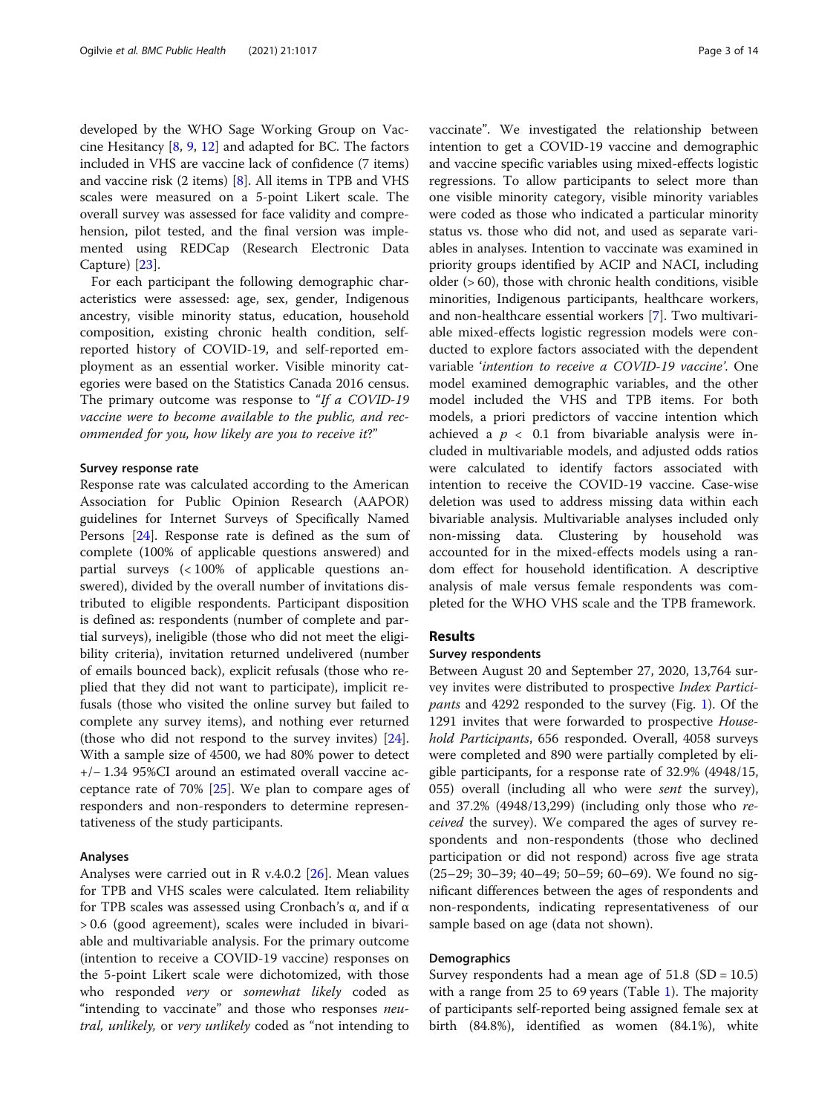developed by the WHO Sage Working Group on Vaccine Hesitancy [[8,](#page-12-0) [9,](#page-12-0) [12\]](#page-12-0) and adapted for BC. The factors included in VHS are vaccine lack of confidence (7 items) and vaccine risk (2 items) [\[8](#page-12-0)]. All items in TPB and VHS scales were measured on a 5-point Likert scale. The overall survey was assessed for face validity and comprehension, pilot tested, and the final version was implemented using REDCap (Research Electronic Data Capture) [[23\]](#page-12-0).

For each participant the following demographic characteristics were assessed: age, sex, gender, Indigenous ancestry, visible minority status, education, household composition, existing chronic health condition, selfreported history of COVID-19, and self-reported employment as an essential worker. Visible minority categories were based on the Statistics Canada 2016 census. The primary outcome was response to "If a COVID-19" vaccine were to become available to the public, and recommended for you, how likely are you to receive it?"

# Survey response rate

Response rate was calculated according to the American Association for Public Opinion Research (AAPOR) guidelines for Internet Surveys of Specifically Named Persons [[24\]](#page-12-0). Response rate is defined as the sum of complete (100% of applicable questions answered) and partial surveys (< 100% of applicable questions answered), divided by the overall number of invitations distributed to eligible respondents. Participant disposition is defined as: respondents (number of complete and partial surveys), ineligible (those who did not meet the eligibility criteria), invitation returned undelivered (number of emails bounced back), explicit refusals (those who replied that they did not want to participate), implicit refusals (those who visited the online survey but failed to complete any survey items), and nothing ever returned (those who did not respond to the survey invites) [\[24](#page-12-0)]. With a sample size of 4500, we had 80% power to detect +/− 1.34 95%CI around an estimated overall vaccine acceptance rate of 70% [\[25](#page-12-0)]. We plan to compare ages of responders and non-responders to determine representativeness of the study participants.

## Analyses

Analyses were carried out in R v.4.0.2 [\[26](#page-12-0)]. Mean values for TPB and VHS scales were calculated. Item reliability for TPB scales was assessed using Cronbach's α, and if α > 0.6 (good agreement), scales were included in bivariable and multivariable analysis. For the primary outcome (intention to receive a COVID-19 vaccine) responses on the 5-point Likert scale were dichotomized, with those who responded very or somewhat likely coded as "intending to vaccinate" and those who responses *neu*tral, unlikely, or very unlikely coded as "not intending to vaccinate". We investigated the relationship between intention to get a COVID-19 vaccine and demographic and vaccine specific variables using mixed-effects logistic regressions. To allow participants to select more than one visible minority category, visible minority variables were coded as those who indicated a particular minority status vs. those who did not, and used as separate variables in analyses. Intention to vaccinate was examined in priority groups identified by ACIP and NACI, including older (> 60), those with chronic health conditions, visible minorities, Indigenous participants, healthcare workers, and non-healthcare essential workers [\[7](#page-12-0)]. Two multivariable mixed-effects logistic regression models were conducted to explore factors associated with the dependent variable 'intention to receive a COVID-19 vaccine'. One model examined demographic variables, and the other model included the VHS and TPB items. For both models, a priori predictors of vaccine intention which achieved a  $p < 0.1$  from bivariable analysis were included in multivariable models, and adjusted odds ratios were calculated to identify factors associated with intention to receive the COVID-19 vaccine. Case-wise deletion was used to address missing data within each bivariable analysis. Multivariable analyses included only non-missing data. Clustering by household was accounted for in the mixed-effects models using a random effect for household identification. A descriptive analysis of male versus female respondents was completed for the WHO VHS scale and the TPB framework.

# Results

# Survey respondents

Between August 20 and September 27, 2020, 13,764 survey invites were distributed to prospective Index Participants and 4292 responded to the survey (Fig. [1\)](#page-3-0). Of the 1291 invites that were forwarded to prospective Household Participants, 656 responded. Overall, 4058 surveys were completed and 890 were partially completed by eligible participants, for a response rate of 32.9% (4948/15, 055) overall (including all who were sent the survey), and 37.2% (4948/13,299) (including only those who received the survey). We compared the ages of survey respondents and non-respondents (those who declined participation or did not respond) across five age strata (25–29; 30–39; 40–49; 50–59; 60–69). We found no significant differences between the ages of respondents and non-respondents, indicating representativeness of our sample based on age (data not shown).

# **Demographics**

Survey respondents had a mean age of  $51.8$  (SD = 10.5) with a range from 25 to 69 years (Table [1\)](#page-4-0). The majority of participants self-reported being assigned female sex at birth (84.8%), identified as women (84.1%), white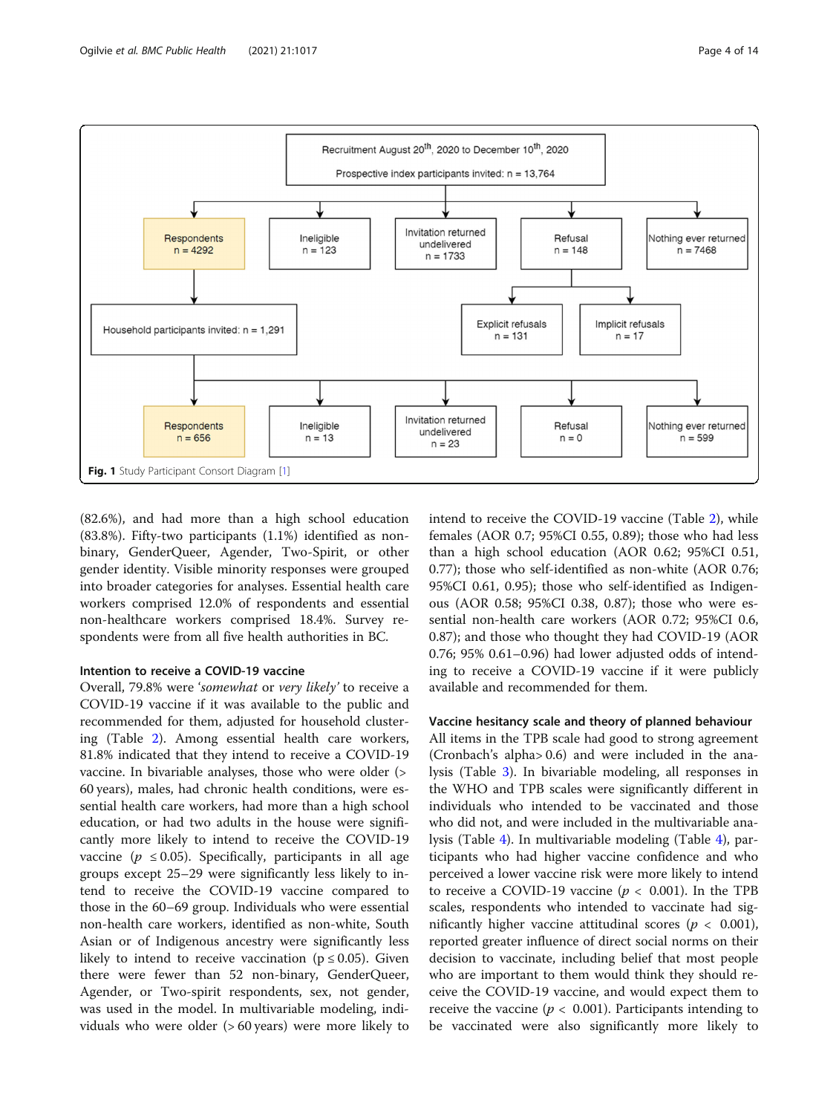<span id="page-3-0"></span>

(82.6%), and had more than a high school education (83.8%). Fifty-two participants (1.1%) identified as nonbinary, GenderQueer, Agender, Two-Spirit, or other gender identity. Visible minority responses were grouped into broader categories for analyses. Essential health care workers comprised 12.0% of respondents and essential non-healthcare workers comprised 18.4%. Survey respondents were from all five health authorities in BC.

# Intention to receive a COVID-19 vaccine

Overall, 79.8% were 'somewhat or very likely' to receive a COVID-19 vaccine if it was available to the public and recommended for them, adjusted for household clustering (Table [2\)](#page-7-0). Among essential health care workers, 81.8% indicated that they intend to receive a COVID-19 vaccine. In bivariable analyses, those who were older (> 60 years), males, had chronic health conditions, were essential health care workers, had more than a high school education, or had two adults in the house were significantly more likely to intend to receive the COVID-19 vaccine ( $p \leq 0.05$ ). Specifically, participants in all age groups except 25–29 were significantly less likely to intend to receive the COVID-19 vaccine compared to those in the 60–69 group. Individuals who were essential non-health care workers, identified as non-white, South Asian or of Indigenous ancestry were significantly less likely to intend to receive vaccination ( $p \le 0.05$ ). Given there were fewer than 52 non-binary, GenderQueer, Agender, or Two-spirit respondents, sex, not gender, was used in the model. In multivariable modeling, individuals who were older (> 60 years) were more likely to intend to receive the COVID-19 vaccine (Table [2](#page-7-0)), while females (AOR 0.7; 95%CI 0.55, 0.89); those who had less than a high school education (AOR 0.62; 95%CI 0.51, 0.77); those who self-identified as non-white (AOR 0.76; 95%CI 0.61, 0.95); those who self-identified as Indigenous (AOR 0.58; 95%CI 0.38, 0.87); those who were essential non-health care workers (AOR 0.72; 95%CI 0.6, 0.87); and those who thought they had COVID-19 (AOR 0.76; 95% 0.61–0.96) had lower adjusted odds of intending to receive a COVID-19 vaccine if it were publicly available and recommended for them.

# Vaccine hesitancy scale and theory of planned behaviour

All items in the TPB scale had good to strong agreement (Cronbach's alpha> 0.6) and were included in the analysis (Table [3\)](#page-9-0). In bivariable modeling, all responses in the WHO and TPB scales were significantly different in individuals who intended to be vaccinated and those who did not, and were included in the multivariable analysis (Table [4\)](#page-10-0). In multivariable modeling (Table [4](#page-10-0)), participants who had higher vaccine confidence and who perceived a lower vaccine risk were more likely to intend to receive a COVID-19 vaccine ( $p < 0.001$ ). In the TPB scales, respondents who intended to vaccinate had significantly higher vaccine attitudinal scores ( $p < 0.001$ ), reported greater influence of direct social norms on their decision to vaccinate, including belief that most people who are important to them would think they should receive the COVID-19 vaccine, and would expect them to receive the vaccine ( $p < 0.001$ ). Participants intending to be vaccinated were also significantly more likely to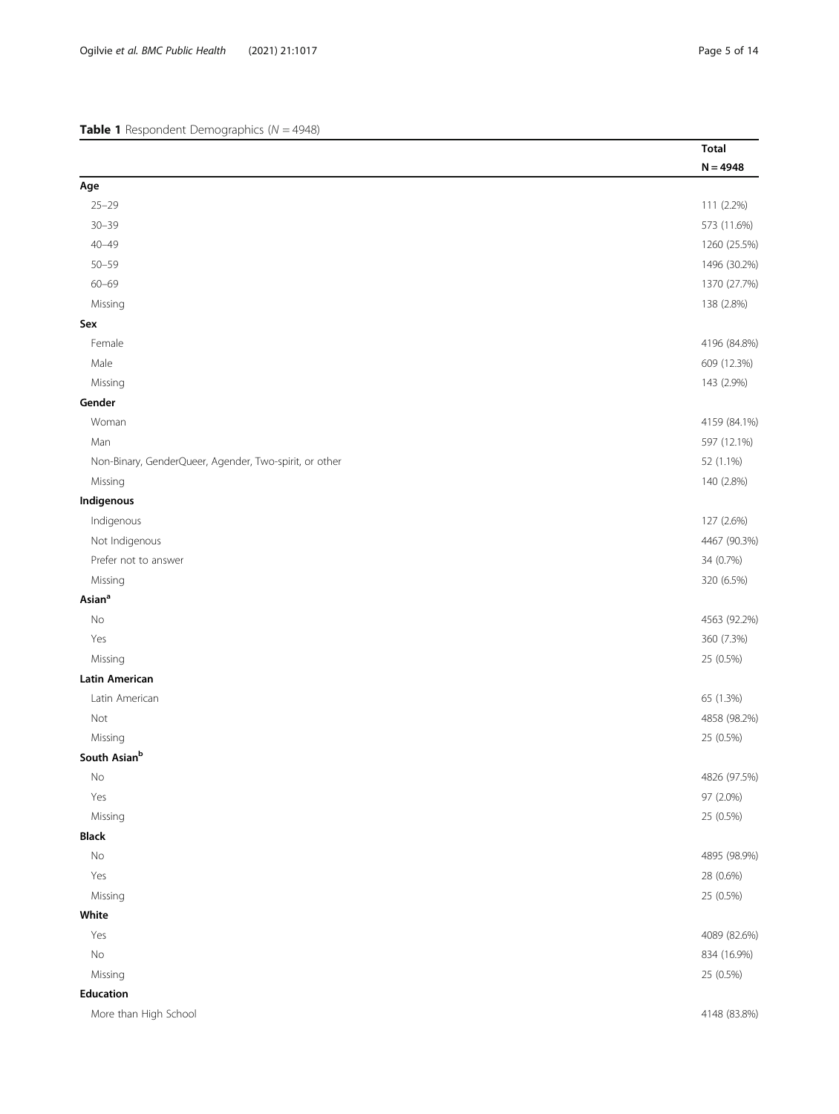<span id="page-4-0"></span>

|                                                        | <b>Total</b> |
|--------------------------------------------------------|--------------|
|                                                        | $N = 4948$   |
| Age                                                    |              |
| $25 - 29$                                              | 111 (2.2%)   |
| $30 - 39$                                              | 573 (11.6%)  |
| $40 - 49$                                              | 1260 (25.5%) |
| $50 - 59$                                              | 1496 (30.2%) |
| $60 - 69$                                              | 1370 (27.7%) |
| Missing                                                | 138 (2.8%)   |
| Sex                                                    |              |
| Female                                                 | 4196 (84.8%) |
| Male                                                   | 609 (12.3%)  |
| Missing                                                | 143 (2.9%)   |
| Gender                                                 |              |
| Woman                                                  | 4159 (84.1%) |
| Man                                                    | 597 (12.1%)  |
| Non-Binary, GenderQueer, Agender, Two-spirit, or other | 52 (1.1%)    |
| Missing                                                | 140 (2.8%)   |
| Indigenous                                             |              |
| Indigenous                                             | 127 (2.6%)   |
| Not Indigenous                                         | 4467 (90.3%) |
| Prefer not to answer                                   | 34 (0.7%)    |
| Missing                                                | 320 (6.5%)   |
| Asian <sup>a</sup>                                     |              |
| No                                                     | 4563 (92.2%) |
| Yes                                                    | 360 (7.3%)   |
| Missing                                                | 25 (0.5%)    |
| <b>Latin American</b>                                  |              |
| Latin American                                         | 65 (1.3%)    |
| Not                                                    | 4858 (98.2%) |
| Missing                                                | 25 (0.5%)    |
| South Asian <sup>b</sup>                               |              |
| $\rm No$                                               | 4826 (97.5%) |
| Yes                                                    | 97 (2.0%)    |
| Missing                                                | 25 (0.5%)    |
| <b>Black</b>                                           |              |
| No                                                     | 4895 (98.9%) |
| Yes                                                    | 28 (0.6%)    |
| Missing                                                | 25 (0.5%)    |
| White                                                  |              |
| Yes                                                    | 4089 (82.6%) |
| $\rm No$                                               | 834 (16.9%)  |
| Missing                                                | 25 (0.5%)    |
| Education                                              |              |
| More than High School                                  | 4148 (83.8%) |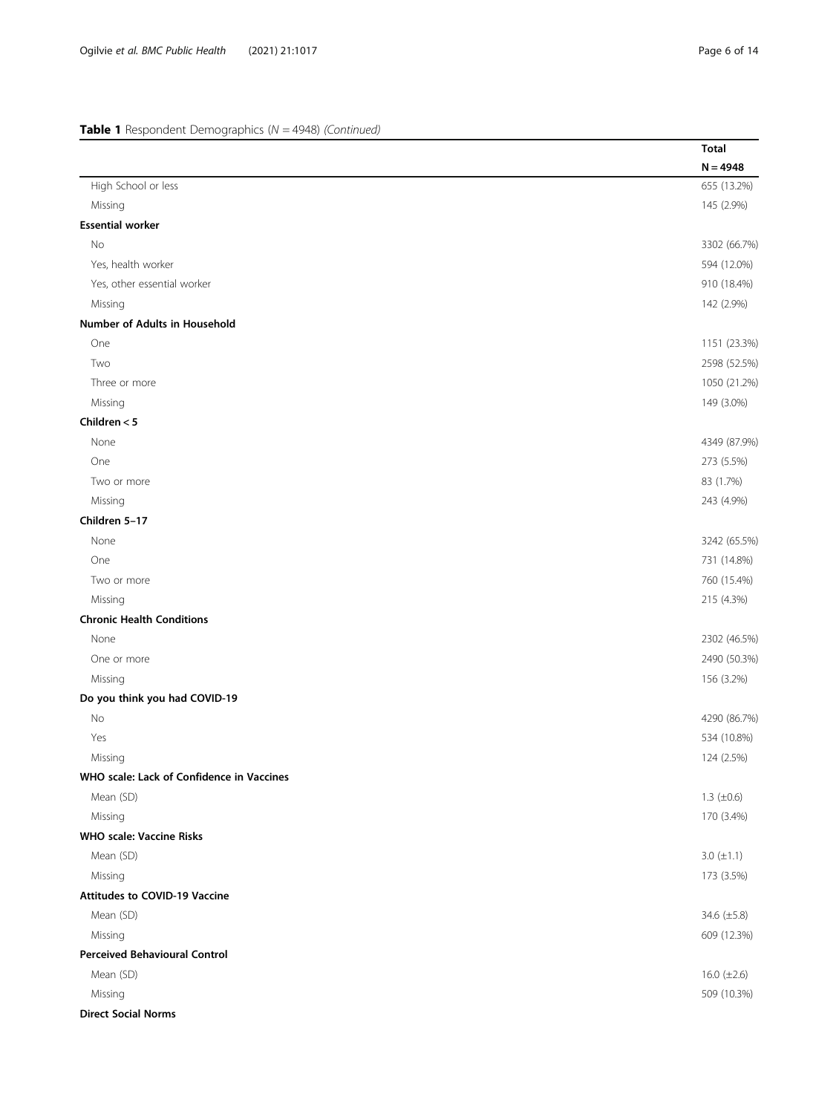| High School or less<br>Missing<br><b>Essential worker</b><br>No | $N = 4948$<br>655 (13.2%)<br>145 (2.9%)<br>3302 (66.7%)<br>594 (12.0%)<br>910 (18.4%)<br>142 (2.9%) |
|-----------------------------------------------------------------|-----------------------------------------------------------------------------------------------------|
|                                                                 |                                                                                                     |
|                                                                 |                                                                                                     |
|                                                                 |                                                                                                     |
|                                                                 |                                                                                                     |
|                                                                 |                                                                                                     |
| Yes, health worker                                              |                                                                                                     |
| Yes, other essential worker                                     |                                                                                                     |
| Missing                                                         |                                                                                                     |
| Number of Adults in Household                                   |                                                                                                     |
| One                                                             | 1151 (23.3%)                                                                                        |
| Two                                                             | 2598 (52.5%)                                                                                        |
| Three or more                                                   | 1050 (21.2%)                                                                                        |
| Missing                                                         | 149 (3.0%)                                                                                          |
| Children $<$ 5                                                  |                                                                                                     |
| None                                                            | 4349 (87.9%)                                                                                        |
| One                                                             | 273 (5.5%)                                                                                          |
| Two or more                                                     | 83 (1.7%)                                                                                           |
| Missing                                                         | 243 (4.9%)                                                                                          |
| Children 5-17                                                   |                                                                                                     |
| None                                                            | 3242 (65.5%)                                                                                        |
| One                                                             | 731 (14.8%)                                                                                         |
| Two or more                                                     | 760 (15.4%)                                                                                         |
| Missing                                                         | 215 (4.3%)                                                                                          |
| <b>Chronic Health Conditions</b>                                |                                                                                                     |
| None                                                            | 2302 (46.5%)                                                                                        |
| One or more                                                     | 2490 (50.3%)                                                                                        |
| Missing                                                         | 156 (3.2%)                                                                                          |
| Do you think you had COVID-19                                   |                                                                                                     |
| No                                                              | 4290 (86.7%)                                                                                        |
| Yes                                                             | 534 (10.8%)                                                                                         |
| Missing                                                         | 124 (2.5%)                                                                                          |
| WHO scale: Lack of Confidence in Vaccines                       |                                                                                                     |
| Mean (SD)                                                       | 1.3 $(\pm 0.6)$                                                                                     |
| Missing                                                         | 170 (3.4%)                                                                                          |
| <b>WHO scale: Vaccine Risks</b>                                 |                                                                                                     |
| Mean (SD)                                                       | $3.0 \ (\pm 1.1)$                                                                                   |
| Missing                                                         | 173 (3.5%)                                                                                          |
| <b>Attitudes to COVID-19 Vaccine</b>                            |                                                                                                     |
| Mean (SD)                                                       | 34.6 (±5.8)                                                                                         |
| Missing                                                         | 609 (12.3%)                                                                                         |
| <b>Perceived Behavioural Control</b>                            |                                                                                                     |
| Mean (SD)                                                       | 16.0 $(\pm 2.6)$                                                                                    |
| Missing                                                         | 509 (10.3%)                                                                                         |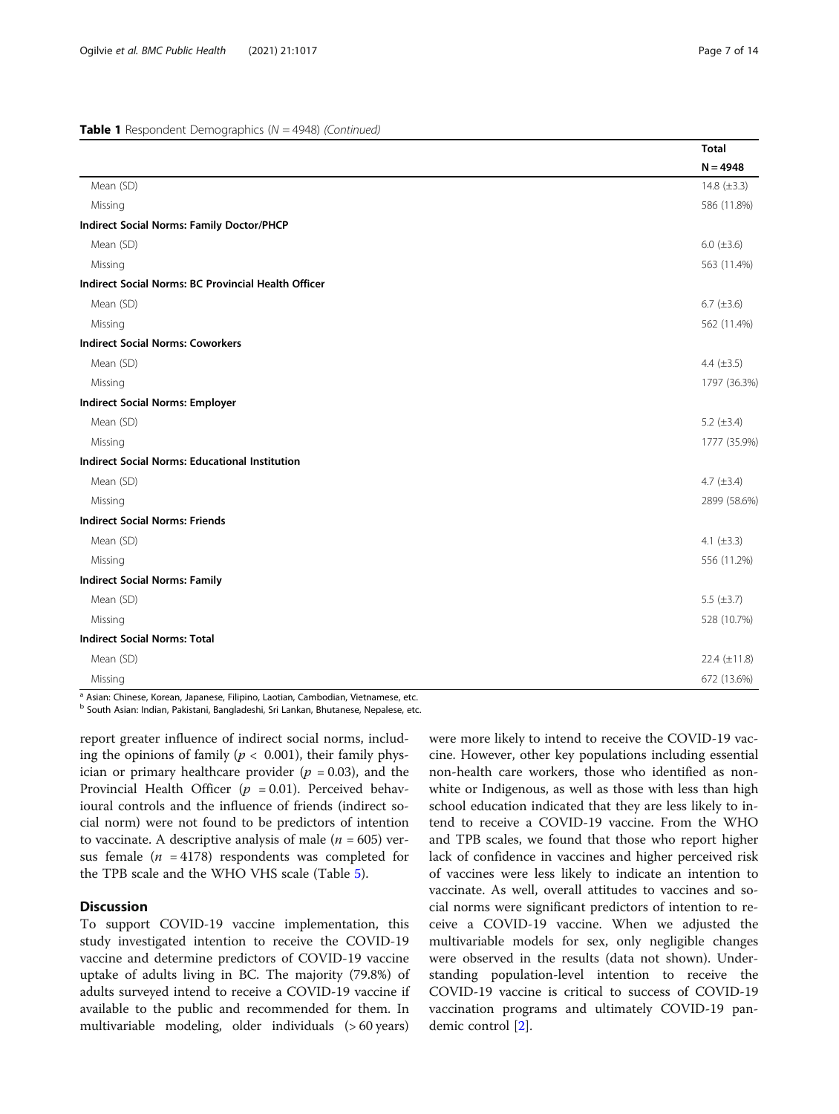|                                                       | <b>Total</b>      |
|-------------------------------------------------------|-------------------|
|                                                       | $N = 4948$        |
| Mean (SD)                                             | 14.8 $(\pm 3.3)$  |
| Missing                                               | 586 (11.8%)       |
| <b>Indirect Social Norms: Family Doctor/PHCP</b>      |                   |
| Mean (SD)                                             | 6.0 $(\pm 3.6)$   |
| Missing                                               | 563 (11.4%)       |
| Indirect Social Norms: BC Provincial Health Officer   |                   |
| Mean (SD)                                             | 6.7 $(\pm 3.6)$   |
| Missing                                               | 562 (11.4%)       |
| <b>Indirect Social Norms: Coworkers</b>               |                   |
| Mean (SD)                                             | 4.4 $(\pm 3.5)$   |
| Missing                                               | 1797 (36.3%)      |
| <b>Indirect Social Norms: Employer</b>                |                   |
| Mean (SD)                                             | 5.2 $(\pm 3.4)$   |
| Missing                                               | 1777 (35.9%)      |
| <b>Indirect Social Norms: Educational Institution</b> |                   |
| Mean (SD)                                             | 4.7 $(\pm 3.4)$   |
| Missing                                               | 2899 (58.6%)      |
| <b>Indirect Social Norms: Friends</b>                 |                   |
| Mean (SD)                                             | 4.1 $(\pm 3.3)$   |
| Missing                                               | 556 (11.2%)       |
| <b>Indirect Social Norms: Family</b>                  |                   |
| Mean (SD)                                             | 5.5 $(\pm 3.7)$   |
| Missing                                               | 528 (10.7%)       |
| <b>Indirect Social Norms: Total</b>                   |                   |
| Mean (SD)                                             | 22.4 $(\pm 11.8)$ |
| Missing                                               | 672 (13.6%)       |

<sup>a</sup> Asian: Chinese, Korean, Japanese, Filipino, Laotian, Cambodian, Vietnamese, etc.

<sup>b</sup> South Asian: Indian, Pakistani, Bangladeshi, Sri Lankan, Bhutanese, Nepalese, etc.

report greater influence of indirect social norms, including the opinions of family ( $p < 0.001$ ), their family physician or primary healthcare provider ( $p = 0.03$ ), and the Provincial Health Officer ( $p = 0.01$ ). Perceived behavioural controls and the influence of friends (indirect social norm) were not found to be predictors of intention to vaccinate. A descriptive analysis of male ( $n = 605$ ) versus female ( $n = 4178$ ) respondents was completed for the TPB scale and the WHO VHS scale (Table [5](#page-11-0)).

# Discussion

To support COVID-19 vaccine implementation, this study investigated intention to receive the COVID-19 vaccine and determine predictors of COVID-19 vaccine uptake of adults living in BC. The majority (79.8%) of adults surveyed intend to receive a COVID-19 vaccine if available to the public and recommended for them. In multivariable modeling, older individuals (> 60 years)

were more likely to intend to receive the COVID-19 vaccine. However, other key populations including essential non-health care workers, those who identified as nonwhite or Indigenous, as well as those with less than high school education indicated that they are less likely to intend to receive a COVID-19 vaccine. From the WHO and TPB scales, we found that those who report higher lack of confidence in vaccines and higher perceived risk of vaccines were less likely to indicate an intention to vaccinate. As well, overall attitudes to vaccines and social norms were significant predictors of intention to receive a COVID-19 vaccine. When we adjusted the multivariable models for sex, only negligible changes were observed in the results (data not shown). Understanding population-level intention to receive the COVID-19 vaccine is critical to success of COVID-19 vaccination programs and ultimately COVID-19 pandemic control [[2\]](#page-12-0).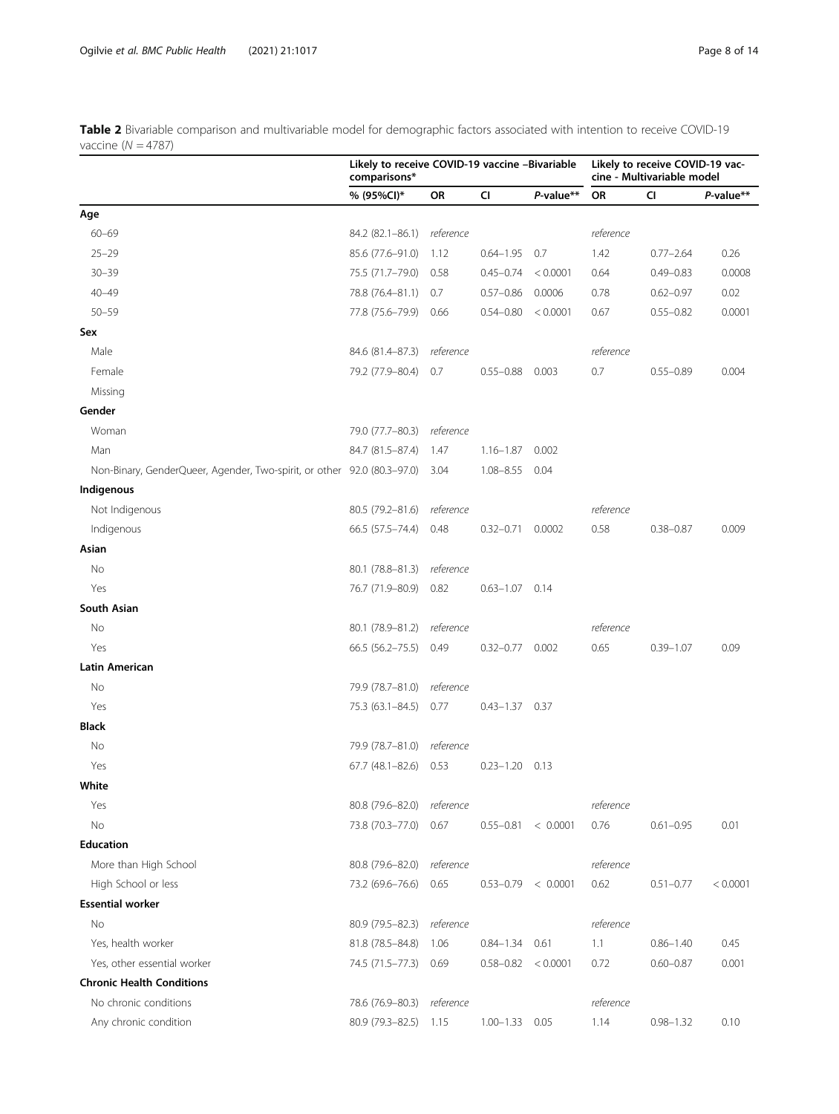<span id="page-7-0"></span>Table 2 Bivariable comparison and multivariable model for demographic factors associated with intention to receive COVID-19 vaccine ( $N = 4787$ )

| $value$ $(18 - 70)$                                                     | Likely to receive COVID-19 vaccine -Bivariable<br>comparisons* |           |                    |           | Likely to receive COVID-19 vac-<br>cine - Multivariable model |               |           |
|-------------------------------------------------------------------------|----------------------------------------------------------------|-----------|--------------------|-----------|---------------------------------------------------------------|---------------|-----------|
|                                                                         | % (95%CI)*                                                     | OR        | CI                 | P-value** | <b>OR</b>                                                     | CI            | P-value** |
| Age                                                                     |                                                                |           |                    |           |                                                               |               |           |
| $60 - 69$                                                               | 84.2 (82.1-86.1)                                               | reference |                    |           | reference                                                     |               |           |
| $25 - 29$                                                               | 85.6 (77.6-91.0)                                               | 1.12      | $0.64 - 1.95$ 0.7  |           | 1.42                                                          | $0.77 - 2.64$ | 0.26      |
| $30 - 39$                                                               | 75.5 (71.7–79.0)                                               | 0.58      | $0.45 - 0.74$      | < 0.0001  | 0.64                                                          | $0.49 - 0.83$ | 0.0008    |
| $40 - 49$                                                               | 78.8 (76.4-81.1)                                               | 0.7       | $0.57 - 0.86$      | 0.0006    | 0.78                                                          | $0.62 - 0.97$ | 0.02      |
| $50 - 59$                                                               | 77.8 (75.6–79.9)                                               | 0.66      | $0.54 - 0.80$      | < 0.0001  | 0.67                                                          | $0.55 - 0.82$ | 0.0001    |
| Sex                                                                     |                                                                |           |                    |           |                                                               |               |           |
| Male                                                                    | 84.6 (81.4-87.3)                                               | reference |                    |           | reference                                                     |               |           |
| Female                                                                  | 79.2 (77.9–80.4)                                               | 0.7       | $0.55 - 0.88$      | 0.003     | 0.7                                                           | $0.55 - 0.89$ | 0.004     |
| Missing                                                                 |                                                                |           |                    |           |                                                               |               |           |
| Gender                                                                  |                                                                |           |                    |           |                                                               |               |           |
| Woman                                                                   | 79.0 (77.7-80.3)                                               | reference |                    |           |                                                               |               |           |
| Man                                                                     | 84.7 (81.5-87.4)                                               | 1.47      | $1.16 - 1.87$      | 0.002     |                                                               |               |           |
| Non-Binary, GenderQueer, Agender, Two-spirit, or other 92.0 (80.3-97.0) |                                                                | - 3.04    | $1.08 - 8.55$      | 0.04      |                                                               |               |           |
| Indigenous                                                              |                                                                |           |                    |           |                                                               |               |           |
| Not Indigenous                                                          | 80.5 (79.2-81.6) reference                                     |           |                    |           | reference                                                     |               |           |
| Indigenous                                                              | 66.5 (57.5 - 74.4)                                             | 0.48      | $0.32 - 0.71$      | 0.0002    | 0.58                                                          | $0.38 - 0.87$ | 0.009     |
| Asian                                                                   |                                                                |           |                    |           |                                                               |               |           |
| No                                                                      | 80.1 (78.8-81.3)                                               | reference |                    |           |                                                               |               |           |
| Yes                                                                     | 76.7 (71.9-80.9)                                               | 0.82      | $0.63 - 1.07$      | 0.14      |                                                               |               |           |
| South Asian                                                             |                                                                |           |                    |           |                                                               |               |           |
| No                                                                      | 80.1 (78.9–81.2)                                               | reference |                    |           | reference                                                     |               |           |
| Yes                                                                     | 66.5 (56.2-75.5)                                               | 0.49      | $0.32 - 0.77$      | 0.002     | 0.65                                                          | $0.39 - 1.07$ | 0.09      |
| Latin American                                                          |                                                                |           |                    |           |                                                               |               |           |
| No                                                                      | 79.9 (78.7-81.0)                                               | reference |                    |           |                                                               |               |           |
| Yes                                                                     | 75.3 (63.1-84.5)                                               | 0.77      | $0.43 - 1.37$ 0.37 |           |                                                               |               |           |
| Black                                                                   |                                                                |           |                    |           |                                                               |               |           |
| No                                                                      | 79.9 (78.7-81.0)                                               | reference |                    |           |                                                               |               |           |
| Yes                                                                     | $67.7$ $(48.1 - 82.6)$                                         | 0.53      | $0.23 - 1.20$ 0.13 |           |                                                               |               |           |
| White                                                                   |                                                                |           |                    |           |                                                               |               |           |
| Yes                                                                     | 80.8 (79.6-82.0)                                               | reference |                    |           | reference                                                     |               |           |
| No                                                                      | 73.8 (70.3-77.0)                                               | 0.67      | $0.55 - 0.81$      | < 0.0001  | 0.76                                                          | $0.61 - 0.95$ | 0.01      |
| <b>Education</b>                                                        |                                                                |           |                    |           |                                                               |               |           |
| More than High School                                                   | 80.8 (79.6-82.0)                                               | reference |                    |           | reference                                                     |               |           |
| High School or less                                                     | 73.2 (69.6-76.6)                                               | 0.65      | $0.53 - 0.79$      | < 0.0001  | 0.62                                                          | $0.51 - 0.77$ | < 0.0001  |
| <b>Essential worker</b>                                                 |                                                                |           |                    |           |                                                               |               |           |
| <b>No</b>                                                               | 80.9 (79.5-82.3)                                               | reference |                    |           | reference                                                     |               |           |
| Yes, health worker                                                      | 81.8 (78.5-84.8)                                               | 1.06      | $0.84 - 1.34$      | 0.61      | 1.1                                                           | $0.86 - 1.40$ | 0.45      |
| Yes, other essential worker                                             | 74.5 (71.5-77.3)                                               | 0.69      | $0.58 - 0.82$      | < 0.0001  | 0.72                                                          | $0.60 - 0.87$ | 0.001     |
| <b>Chronic Health Conditions</b>                                        |                                                                |           |                    |           |                                                               |               |           |
| No chronic conditions                                                   | 78.6 (76.9-80.3)                                               | reference |                    |           | reference                                                     |               |           |
| Any chronic condition                                                   | 80.9 (79.3-82.5)                                               | 1.15      | $1.00 - 1.33$      | 0.05      | 1.14                                                          | $0.98 - 1.32$ | 0.10      |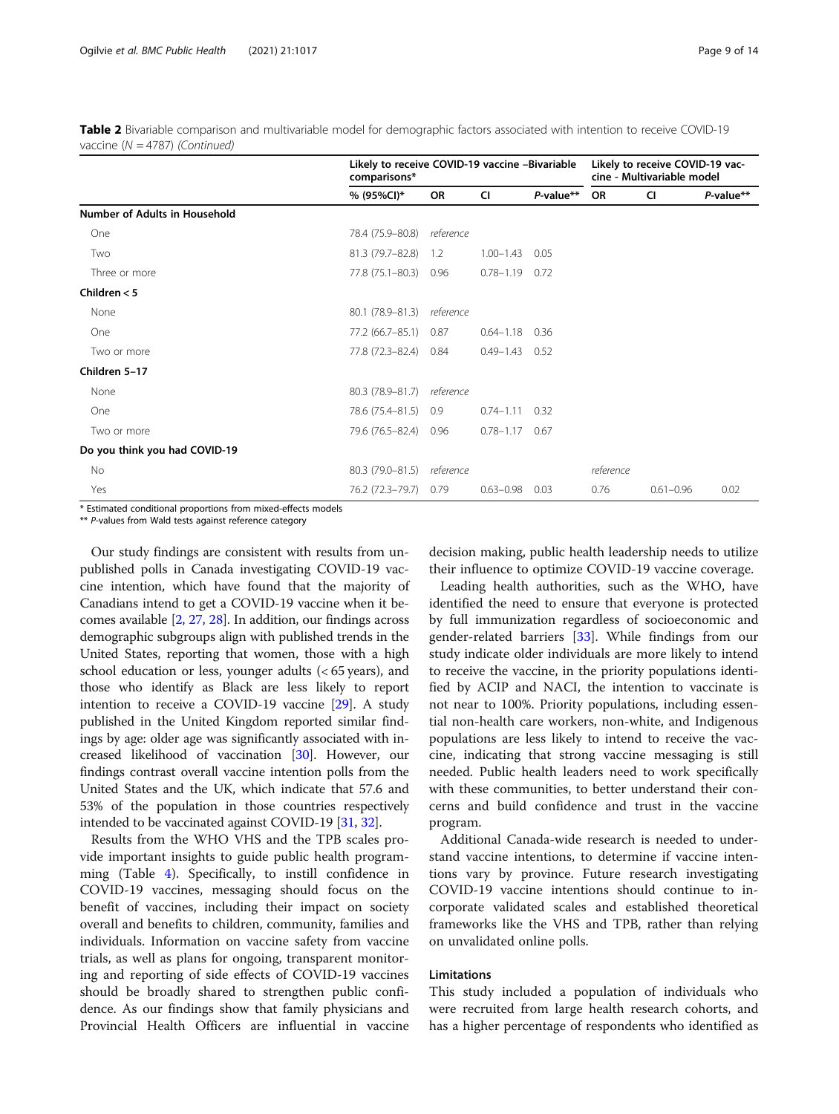Table 2 Bivariable comparison and multivariable model for demographic factors associated with intention to receive COVID-19 vaccine (N = 4787) (Continued)

|                               | Likely to receive COVID-19 vaccine -Bivariable<br>comparisons* |           |                    |           |           | Likely to receive COVID-19 vac-<br>cine - Multivariable model |           |  |
|-------------------------------|----------------------------------------------------------------|-----------|--------------------|-----------|-----------|---------------------------------------------------------------|-----------|--|
|                               | % (95%Cl)*                                                     | <b>OR</b> | <b>CI</b>          | P-value** | <b>OR</b> | <b>CI</b>                                                     | P-value** |  |
| Number of Adults in Household |                                                                |           |                    |           |           |                                                               |           |  |
| One                           | 78.4 (75.9-80.8)                                               | reference |                    |           |           |                                                               |           |  |
| Two                           | 81.3 (79.7-82.8)                                               | 1.2       | $1.00 - 1.43$      | 0.05      |           |                                                               |           |  |
| Three or more                 | 77.8 (75.1–80.3)                                               | 0.96      | $0.78 - 1.19$ 0.72 |           |           |                                                               |           |  |
| Children $<$ 5                |                                                                |           |                    |           |           |                                                               |           |  |
| None                          | 80.1 (78.9–81.3)                                               | reference |                    |           |           |                                                               |           |  |
| One                           | 77.2 (66.7–85.1)                                               | 0.87      | $0.64 - 1.18$ 0.36 |           |           |                                                               |           |  |
| Two or more                   | 77.8 (72.3-82.4)                                               | 0.84      | $0.49 - 1.43$      | 0.52      |           |                                                               |           |  |
| Children 5-17                 |                                                                |           |                    |           |           |                                                               |           |  |
| None                          | 80.3 (78.9-81.7)                                               | reference |                    |           |           |                                                               |           |  |
| One                           | 78.6 (75.4–81.5)                                               | 0.9       | $0.74 - 1.11$      | 0.32      |           |                                                               |           |  |
| Two or more                   | 79.6 (76.5-82.4) 0.96                                          |           | $0.78 - 1.17$ 0.67 |           |           |                                                               |           |  |
| Do you think you had COVID-19 |                                                                |           |                    |           |           |                                                               |           |  |
| No                            | 80.3 (79.0-81.5)                                               | reference |                    |           | reference |                                                               |           |  |
| Yes                           | 76.2 (72.3–79.7)                                               | 0.79      | $0.63 - 0.98$      | 0.03      | 0.76      | $0.61 - 0.96$                                                 | 0.02      |  |

\* Estimated conditional proportions from mixed-effects models

\*\* P-values from Wald tests against reference category

Our study findings are consistent with results from unpublished polls in Canada investigating COVID-19 vaccine intention, which have found that the majority of Canadians intend to get a COVID-19 vaccine when it becomes available [[2](#page-12-0), [27,](#page-12-0) [28](#page-12-0)]. In addition, our findings across demographic subgroups align with published trends in the United States, reporting that women, those with a high school education or less, younger adults (< 65 years), and those who identify as Black are less likely to report intention to receive a COVID-19 vaccine [\[29\]](#page-13-0). A study published in the United Kingdom reported similar findings by age: older age was significantly associated with increased likelihood of vaccination [[30\]](#page-13-0). However, our findings contrast overall vaccine intention polls from the United States and the UK, which indicate that 57.6 and 53% of the population in those countries respectively intended to be vaccinated against COVID-19 [\[31,](#page-13-0) [32](#page-13-0)].

Results from the WHO VHS and the TPB scales provide important insights to guide public health programming (Table [4\)](#page-10-0). Specifically, to instill confidence in COVID-19 vaccines, messaging should focus on the benefit of vaccines, including their impact on society overall and benefits to children, community, families and individuals. Information on vaccine safety from vaccine trials, as well as plans for ongoing, transparent monitoring and reporting of side effects of COVID-19 vaccines should be broadly shared to strengthen public confidence. As our findings show that family physicians and Provincial Health Officers are influential in vaccine decision making, public health leadership needs to utilize their influence to optimize COVID-19 vaccine coverage.

Leading health authorities, such as the WHO, have identified the need to ensure that everyone is protected by full immunization regardless of socioeconomic and gender-related barriers [[33](#page-13-0)]. While findings from our study indicate older individuals are more likely to intend to receive the vaccine, in the priority populations identified by ACIP and NACI, the intention to vaccinate is not near to 100%. Priority populations, including essential non-health care workers, non-white, and Indigenous populations are less likely to intend to receive the vaccine, indicating that strong vaccine messaging is still needed. Public health leaders need to work specifically with these communities, to better understand their concerns and build confidence and trust in the vaccine program.

Additional Canada-wide research is needed to understand vaccine intentions, to determine if vaccine intentions vary by province. Future research investigating COVID-19 vaccine intentions should continue to incorporate validated scales and established theoretical frameworks like the VHS and TPB, rather than relying on unvalidated online polls.

# Limitations

This study included a population of individuals who were recruited from large health research cohorts, and has a higher percentage of respondents who identified as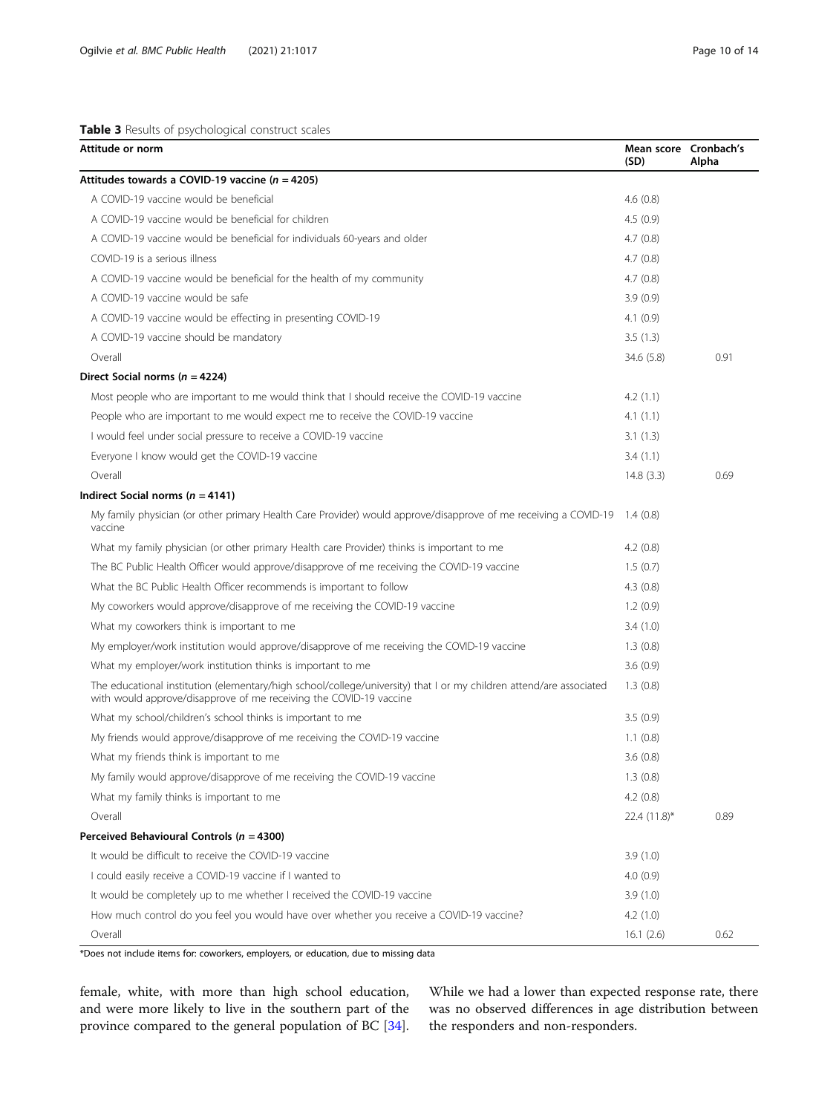# <span id="page-9-0"></span>Table 3 Results of psychological construct scales

| Attitude or norm                                                                                                                                                                          | Mean score Cronbach's<br>(SD) | Alpha |
|-------------------------------------------------------------------------------------------------------------------------------------------------------------------------------------------|-------------------------------|-------|
| Attitudes towards a COVID-19 vaccine ( $n = 4205$ )                                                                                                                                       |                               |       |
| A COVID-19 vaccine would be beneficial                                                                                                                                                    | 4.6(0.8)                      |       |
| A COVID-19 vaccine would be beneficial for children                                                                                                                                       | 4.5(0.9)                      |       |
| A COVID-19 vaccine would be beneficial for individuals 60-years and older                                                                                                                 | 4.7(0.8)                      |       |
| COVID-19 is a serious illness                                                                                                                                                             | 4.7(0.8)                      |       |
| A COVID-19 vaccine would be beneficial for the health of my community                                                                                                                     | 4.7(0.8)                      |       |
| A COVID-19 vaccine would be safe                                                                                                                                                          | 3.9(0.9)                      |       |
| A COVID-19 vaccine would be effecting in presenting COVID-19                                                                                                                              | 4.1(0.9)                      |       |
| A COVID-19 vaccine should be mandatory                                                                                                                                                    | 3.5(1.3)                      |       |
| Overall                                                                                                                                                                                   | 34.6 (5.8)                    | 0.91  |
| Direct Social norms ( $n = 4224$ )                                                                                                                                                        |                               |       |
| Most people who are important to me would think that I should receive the COVID-19 vaccine                                                                                                | 4.2(1.1)                      |       |
| People who are important to me would expect me to receive the COVID-19 vaccine                                                                                                            | 4.1(1.1)                      |       |
| I would feel under social pressure to receive a COVID-19 vaccine                                                                                                                          | 3.1(1.3)                      |       |
| Everyone I know would get the COVID-19 vaccine                                                                                                                                            | 3.4(1.1)                      |       |
| Overall                                                                                                                                                                                   | 14.8(3.3)                     | 0.69  |
| Indirect Social norms ( $n = 4141$ )                                                                                                                                                      |                               |       |
| My family physician (or other primary Health Care Provider) would approve/disapprove of me receiving a COVID-19<br>vaccine                                                                | 1.4(0.8)                      |       |
| What my family physician (or other primary Health care Provider) thinks is important to me                                                                                                | 4.2(0.8)                      |       |
| The BC Public Health Officer would approve/disapprove of me receiving the COVID-19 vaccine                                                                                                | 1.5(0.7)                      |       |
| What the BC Public Health Officer recommends is important to follow                                                                                                                       | 4.3(0.8)                      |       |
| My coworkers would approve/disapprove of me receiving the COVID-19 vaccine                                                                                                                | 1.2(0.9)                      |       |
| What my coworkers think is important to me                                                                                                                                                | 3.4(1.0)                      |       |
| My employer/work institution would approve/disapprove of me receiving the COVID-19 vaccine                                                                                                | 1.3(0.8)                      |       |
| What my employer/work institution thinks is important to me                                                                                                                               | 3.6(0.9)                      |       |
| The educational institution (elementary/high school/college/university) that I or my children attend/are associated<br>with would approve/disapprove of me receiving the COVID-19 vaccine | 1.3(0.8)                      |       |
| What my school/children's school thinks is important to me                                                                                                                                | 3.5(0.9)                      |       |
| My friends would approve/disapprove of me receiving the COVID-19 vaccine                                                                                                                  | 1.1(0.8)                      |       |
| What my friends think is important to me                                                                                                                                                  | 3.6(0.8)                      |       |
| My family would approve/disapprove of me receiving the COVID-19 vaccine                                                                                                                   | 1.3(0.8)                      |       |
| What my family thinks is important to me                                                                                                                                                  | 4.2(0.8)                      |       |
| Overall                                                                                                                                                                                   | 22.4 (11.8)*                  | 0.89  |
| Perceived Behavioural Controls ( $n = 4300$ )                                                                                                                                             |                               |       |
| It would be difficult to receive the COVID-19 vaccine                                                                                                                                     | 3.9(1.0)                      |       |
| I could easily receive a COVID-19 vaccine if I wanted to                                                                                                                                  | 4.0(0.9)                      |       |
| It would be completely up to me whether I received the COVID-19 vaccine                                                                                                                   | 3.9(1.0)                      |       |
| How much control do you feel you would have over whether you receive a COVID-19 vaccine?                                                                                                  | 4.2(1.0)                      |       |
| Overall                                                                                                                                                                                   | 16.1(2.6)                     | 0.62  |

\*Does not include items for: coworkers, employers, or education, due to missing data

female, white, with more than high school education, and were more likely to live in the southern part of the province compared to the general population of BC [\[34](#page-13-0)]. While we had a lower than expected response rate, there was no observed differences in age distribution between the responders and non-responders.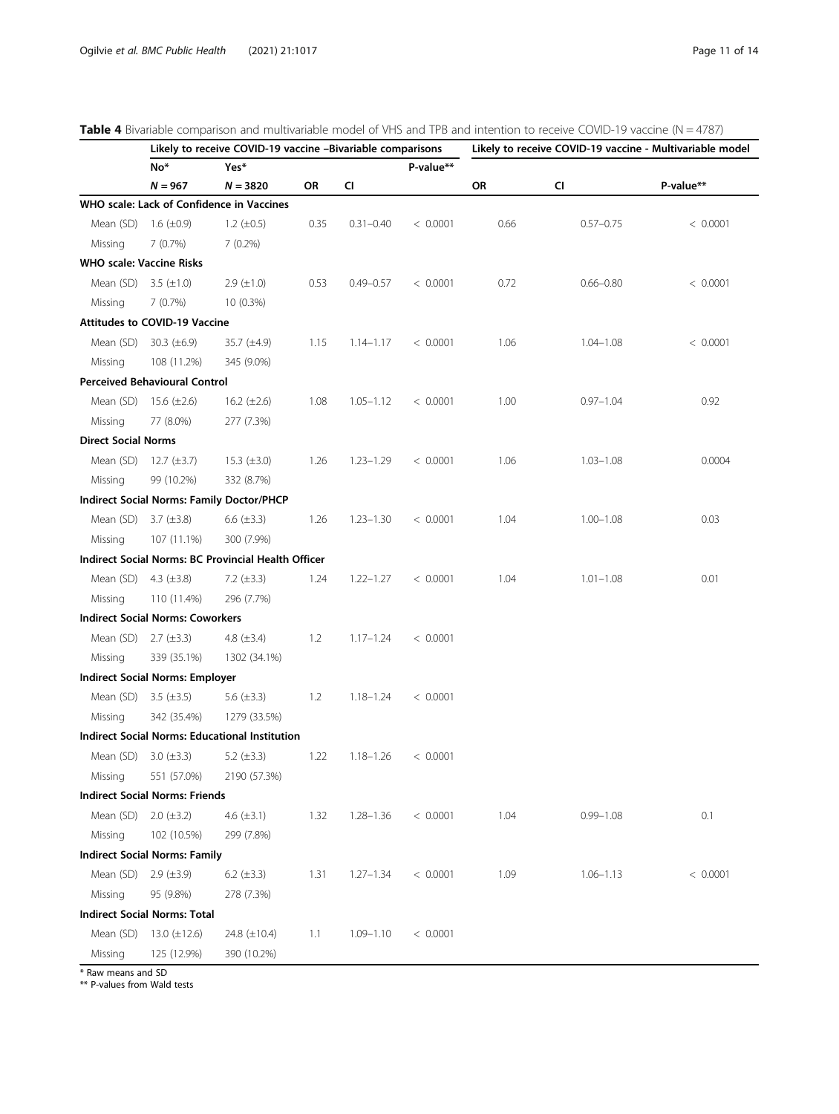| No*<br>P-value**<br>Yes*<br>$N = 967$<br>CI<br>P-value**<br>$N = 3820$<br>OR<br>OR<br>CI<br>WHO scale: Lack of Confidence in Vaccines<br>Mean (SD)<br>1.6 $(\pm 0.9)$<br>1.2 $(\pm 0.5)$<br>0.35<br>$0.31 - 0.40$<br>< 0.0001<br>0.66<br>$0.57 - 0.75$<br>< 0.0001<br>7(0.7%)<br>$7(0.2\%)$<br>Missing<br><b>WHO scale: Vaccine Risks</b><br>Mean (SD)<br>3.5 $(\pm 1.0)$<br>$2.9 \ (\pm 1.0)$<br>0.53<br>< 0.0001<br>0.72<br>$0.66 - 0.80$<br>$0.49 - 0.57$<br>< 0.0001<br>Missing<br>7(0.7%)<br>10 (0.3%)<br><b>Attitudes to COVID-19 Vaccine</b><br>Mean (SD)<br>30.3 $(\pm 6.9)$<br>35.7 (±4.9)<br>1.15<br>< 0.0001<br>1.06<br>$1.04 - 1.08$<br>< 0.0001<br>$1.14 - 1.17$<br>108 (11.2%)<br>345 (9.0%)<br>Missing<br><b>Perceived Behavioural Control</b><br>Mean (SD)<br>15.6 $(\pm 2.6)$<br>16.2 $(\pm 2.6)$<br>1.08<br>< 0.0001<br>1.00<br>0.92<br>$1.05 - 1.12$<br>$0.97 - 1.04$<br>Missing<br>77 (8.0%)<br>277 (7.3%)<br><b>Direct Social Norms</b><br>Mean (SD)<br>$12.7 (\pm 3.7)$<br>15.3 $(\pm 3.0)$<br>1.26<br>$1.23 - 1.29$<br>< 0.0001<br>1.06<br>$1.03 - 1.08$<br>0.0004<br>Missing<br>99 (10.2%)<br>332 (8.7%)<br>Indirect Social Norms: Family Doctor/PHCP<br>Mean (SD)<br>3.7 $(\pm 3.8)$<br>6.6 $(\pm 3.3)$<br>1.26<br>< 0.0001<br>1.04<br>$1.00 - 1.08$<br>0.03<br>$1.23 - 1.30$<br>Missing<br>107 (11.1%)<br>300 (7.9%)<br>Indirect Social Norms: BC Provincial Health Officer<br>Mean (SD)<br>4.3 $(\pm 3.8)$<br>7.2 $(\pm 3.3)$<br>1.24<br>$1.22 - 1.27$<br>< 0.0001<br>1.04<br>$1.01 - 1.08$<br>0.01<br>110 (11.4%)<br>296 (7.7%)<br>Missing<br><b>Indirect Social Norms: Coworkers</b><br>Mean (SD)<br>$2.7 (\pm 3.3)$<br>4.8 $(\pm 3.4)$<br>1.2<br>$1.17 - 1.24$<br>< 0.0001<br>Missing<br>339 (35.1%)<br>1302 (34.1%)<br><b>Indirect Social Norms: Employer</b><br>Mean (SD)<br>3.5 $(\pm 3.5)$<br>5.6 $(\pm 3.3)$<br>1.2<br>< 0.0001<br>$1.18 - 1.24$<br>342 (35.4%)<br>1279 (33.5%)<br>Missing<br><b>Indirect Social Norms: Educational Institution</b><br>Mean (SD) 3.0 (±3.3)<br>5.2 $(\pm 3.3)$<br>1.22<br>$1.18 - 1.26$<br>< 0.0001<br>551 (57.0%)<br>Missing<br>2190 (57.3%)<br><b>Indirect Social Norms: Friends</b><br>Mean (SD)<br>$2.0 (\pm 3.2)$<br>4.6 $(\pm 3.1)$<br>1.32<br>0.1<br>$1.28 - 1.36$<br>< 0.0001<br>1.04<br>$0.99 - 1.08$<br>Missing<br>102 (10.5%)<br>299 (7.8%)<br><b>Indirect Social Norms: Family</b> |           |                 | Likely to receive COVID-19 vaccine -Bivariable comparisons |      |               |          |      | Likely to receive COVID-19 vaccine - Multivariable model |          |
|-------------------------------------------------------------------------------------------------------------------------------------------------------------------------------------------------------------------------------------------------------------------------------------------------------------------------------------------------------------------------------------------------------------------------------------------------------------------------------------------------------------------------------------------------------------------------------------------------------------------------------------------------------------------------------------------------------------------------------------------------------------------------------------------------------------------------------------------------------------------------------------------------------------------------------------------------------------------------------------------------------------------------------------------------------------------------------------------------------------------------------------------------------------------------------------------------------------------------------------------------------------------------------------------------------------------------------------------------------------------------------------------------------------------------------------------------------------------------------------------------------------------------------------------------------------------------------------------------------------------------------------------------------------------------------------------------------------------------------------------------------------------------------------------------------------------------------------------------------------------------------------------------------------------------------------------------------------------------------------------------------------------------------------------------------------------------------------------------------------------------------------------------------------------------------------------------------------------------------------------------------------------------------------------------------------------------------------------------------------------|-----------|-----------------|------------------------------------------------------------|------|---------------|----------|------|----------------------------------------------------------|----------|
|                                                                                                                                                                                                                                                                                                                                                                                                                                                                                                                                                                                                                                                                                                                                                                                                                                                                                                                                                                                                                                                                                                                                                                                                                                                                                                                                                                                                                                                                                                                                                                                                                                                                                                                                                                                                                                                                                                                                                                                                                                                                                                                                                                                                                                                                                                                                                                   |           |                 |                                                            |      |               |          |      |                                                          |          |
|                                                                                                                                                                                                                                                                                                                                                                                                                                                                                                                                                                                                                                                                                                                                                                                                                                                                                                                                                                                                                                                                                                                                                                                                                                                                                                                                                                                                                                                                                                                                                                                                                                                                                                                                                                                                                                                                                                                                                                                                                                                                                                                                                                                                                                                                                                                                                                   |           |                 |                                                            |      |               |          |      |                                                          |          |
|                                                                                                                                                                                                                                                                                                                                                                                                                                                                                                                                                                                                                                                                                                                                                                                                                                                                                                                                                                                                                                                                                                                                                                                                                                                                                                                                                                                                                                                                                                                                                                                                                                                                                                                                                                                                                                                                                                                                                                                                                                                                                                                                                                                                                                                                                                                                                                   |           |                 |                                                            |      |               |          |      |                                                          |          |
|                                                                                                                                                                                                                                                                                                                                                                                                                                                                                                                                                                                                                                                                                                                                                                                                                                                                                                                                                                                                                                                                                                                                                                                                                                                                                                                                                                                                                                                                                                                                                                                                                                                                                                                                                                                                                                                                                                                                                                                                                                                                                                                                                                                                                                                                                                                                                                   |           |                 |                                                            |      |               |          |      |                                                          |          |
|                                                                                                                                                                                                                                                                                                                                                                                                                                                                                                                                                                                                                                                                                                                                                                                                                                                                                                                                                                                                                                                                                                                                                                                                                                                                                                                                                                                                                                                                                                                                                                                                                                                                                                                                                                                                                                                                                                                                                                                                                                                                                                                                                                                                                                                                                                                                                                   |           |                 |                                                            |      |               |          |      |                                                          |          |
|                                                                                                                                                                                                                                                                                                                                                                                                                                                                                                                                                                                                                                                                                                                                                                                                                                                                                                                                                                                                                                                                                                                                                                                                                                                                                                                                                                                                                                                                                                                                                                                                                                                                                                                                                                                                                                                                                                                                                                                                                                                                                                                                                                                                                                                                                                                                                                   |           |                 |                                                            |      |               |          |      |                                                          |          |
|                                                                                                                                                                                                                                                                                                                                                                                                                                                                                                                                                                                                                                                                                                                                                                                                                                                                                                                                                                                                                                                                                                                                                                                                                                                                                                                                                                                                                                                                                                                                                                                                                                                                                                                                                                                                                                                                                                                                                                                                                                                                                                                                                                                                                                                                                                                                                                   |           |                 |                                                            |      |               |          |      |                                                          |          |
|                                                                                                                                                                                                                                                                                                                                                                                                                                                                                                                                                                                                                                                                                                                                                                                                                                                                                                                                                                                                                                                                                                                                                                                                                                                                                                                                                                                                                                                                                                                                                                                                                                                                                                                                                                                                                                                                                                                                                                                                                                                                                                                                                                                                                                                                                                                                                                   |           |                 |                                                            |      |               |          |      |                                                          |          |
|                                                                                                                                                                                                                                                                                                                                                                                                                                                                                                                                                                                                                                                                                                                                                                                                                                                                                                                                                                                                                                                                                                                                                                                                                                                                                                                                                                                                                                                                                                                                                                                                                                                                                                                                                                                                                                                                                                                                                                                                                                                                                                                                                                                                                                                                                                                                                                   |           |                 |                                                            |      |               |          |      |                                                          |          |
|                                                                                                                                                                                                                                                                                                                                                                                                                                                                                                                                                                                                                                                                                                                                                                                                                                                                                                                                                                                                                                                                                                                                                                                                                                                                                                                                                                                                                                                                                                                                                                                                                                                                                                                                                                                                                                                                                                                                                                                                                                                                                                                                                                                                                                                                                                                                                                   |           |                 |                                                            |      |               |          |      |                                                          |          |
|                                                                                                                                                                                                                                                                                                                                                                                                                                                                                                                                                                                                                                                                                                                                                                                                                                                                                                                                                                                                                                                                                                                                                                                                                                                                                                                                                                                                                                                                                                                                                                                                                                                                                                                                                                                                                                                                                                                                                                                                                                                                                                                                                                                                                                                                                                                                                                   |           |                 |                                                            |      |               |          |      |                                                          |          |
|                                                                                                                                                                                                                                                                                                                                                                                                                                                                                                                                                                                                                                                                                                                                                                                                                                                                                                                                                                                                                                                                                                                                                                                                                                                                                                                                                                                                                                                                                                                                                                                                                                                                                                                                                                                                                                                                                                                                                                                                                                                                                                                                                                                                                                                                                                                                                                   |           |                 |                                                            |      |               |          |      |                                                          |          |
|                                                                                                                                                                                                                                                                                                                                                                                                                                                                                                                                                                                                                                                                                                                                                                                                                                                                                                                                                                                                                                                                                                                                                                                                                                                                                                                                                                                                                                                                                                                                                                                                                                                                                                                                                                                                                                                                                                                                                                                                                                                                                                                                                                                                                                                                                                                                                                   |           |                 |                                                            |      |               |          |      |                                                          |          |
|                                                                                                                                                                                                                                                                                                                                                                                                                                                                                                                                                                                                                                                                                                                                                                                                                                                                                                                                                                                                                                                                                                                                                                                                                                                                                                                                                                                                                                                                                                                                                                                                                                                                                                                                                                                                                                                                                                                                                                                                                                                                                                                                                                                                                                                                                                                                                                   |           |                 |                                                            |      |               |          |      |                                                          |          |
|                                                                                                                                                                                                                                                                                                                                                                                                                                                                                                                                                                                                                                                                                                                                                                                                                                                                                                                                                                                                                                                                                                                                                                                                                                                                                                                                                                                                                                                                                                                                                                                                                                                                                                                                                                                                                                                                                                                                                                                                                                                                                                                                                                                                                                                                                                                                                                   |           |                 |                                                            |      |               |          |      |                                                          |          |
|                                                                                                                                                                                                                                                                                                                                                                                                                                                                                                                                                                                                                                                                                                                                                                                                                                                                                                                                                                                                                                                                                                                                                                                                                                                                                                                                                                                                                                                                                                                                                                                                                                                                                                                                                                                                                                                                                                                                                                                                                                                                                                                                                                                                                                                                                                                                                                   |           |                 |                                                            |      |               |          |      |                                                          |          |
|                                                                                                                                                                                                                                                                                                                                                                                                                                                                                                                                                                                                                                                                                                                                                                                                                                                                                                                                                                                                                                                                                                                                                                                                                                                                                                                                                                                                                                                                                                                                                                                                                                                                                                                                                                                                                                                                                                                                                                                                                                                                                                                                                                                                                                                                                                                                                                   |           |                 |                                                            |      |               |          |      |                                                          |          |
|                                                                                                                                                                                                                                                                                                                                                                                                                                                                                                                                                                                                                                                                                                                                                                                                                                                                                                                                                                                                                                                                                                                                                                                                                                                                                                                                                                                                                                                                                                                                                                                                                                                                                                                                                                                                                                                                                                                                                                                                                                                                                                                                                                                                                                                                                                                                                                   |           |                 |                                                            |      |               |          |      |                                                          |          |
|                                                                                                                                                                                                                                                                                                                                                                                                                                                                                                                                                                                                                                                                                                                                                                                                                                                                                                                                                                                                                                                                                                                                                                                                                                                                                                                                                                                                                                                                                                                                                                                                                                                                                                                                                                                                                                                                                                                                                                                                                                                                                                                                                                                                                                                                                                                                                                   |           |                 |                                                            |      |               |          |      |                                                          |          |
|                                                                                                                                                                                                                                                                                                                                                                                                                                                                                                                                                                                                                                                                                                                                                                                                                                                                                                                                                                                                                                                                                                                                                                                                                                                                                                                                                                                                                                                                                                                                                                                                                                                                                                                                                                                                                                                                                                                                                                                                                                                                                                                                                                                                                                                                                                                                                                   |           |                 |                                                            |      |               |          |      |                                                          |          |
|                                                                                                                                                                                                                                                                                                                                                                                                                                                                                                                                                                                                                                                                                                                                                                                                                                                                                                                                                                                                                                                                                                                                                                                                                                                                                                                                                                                                                                                                                                                                                                                                                                                                                                                                                                                                                                                                                                                                                                                                                                                                                                                                                                                                                                                                                                                                                                   |           |                 |                                                            |      |               |          |      |                                                          |          |
|                                                                                                                                                                                                                                                                                                                                                                                                                                                                                                                                                                                                                                                                                                                                                                                                                                                                                                                                                                                                                                                                                                                                                                                                                                                                                                                                                                                                                                                                                                                                                                                                                                                                                                                                                                                                                                                                                                                                                                                                                                                                                                                                                                                                                                                                                                                                                                   |           |                 |                                                            |      |               |          |      |                                                          |          |
|                                                                                                                                                                                                                                                                                                                                                                                                                                                                                                                                                                                                                                                                                                                                                                                                                                                                                                                                                                                                                                                                                                                                                                                                                                                                                                                                                                                                                                                                                                                                                                                                                                                                                                                                                                                                                                                                                                                                                                                                                                                                                                                                                                                                                                                                                                                                                                   |           |                 |                                                            |      |               |          |      |                                                          |          |
|                                                                                                                                                                                                                                                                                                                                                                                                                                                                                                                                                                                                                                                                                                                                                                                                                                                                                                                                                                                                                                                                                                                                                                                                                                                                                                                                                                                                                                                                                                                                                                                                                                                                                                                                                                                                                                                                                                                                                                                                                                                                                                                                                                                                                                                                                                                                                                   |           |                 |                                                            |      |               |          |      |                                                          |          |
|                                                                                                                                                                                                                                                                                                                                                                                                                                                                                                                                                                                                                                                                                                                                                                                                                                                                                                                                                                                                                                                                                                                                                                                                                                                                                                                                                                                                                                                                                                                                                                                                                                                                                                                                                                                                                                                                                                                                                                                                                                                                                                                                                                                                                                                                                                                                                                   |           |                 |                                                            |      |               |          |      |                                                          |          |
|                                                                                                                                                                                                                                                                                                                                                                                                                                                                                                                                                                                                                                                                                                                                                                                                                                                                                                                                                                                                                                                                                                                                                                                                                                                                                                                                                                                                                                                                                                                                                                                                                                                                                                                                                                                                                                                                                                                                                                                                                                                                                                                                                                                                                                                                                                                                                                   |           |                 |                                                            |      |               |          |      |                                                          |          |
|                                                                                                                                                                                                                                                                                                                                                                                                                                                                                                                                                                                                                                                                                                                                                                                                                                                                                                                                                                                                                                                                                                                                                                                                                                                                                                                                                                                                                                                                                                                                                                                                                                                                                                                                                                                                                                                                                                                                                                                                                                                                                                                                                                                                                                                                                                                                                                   |           |                 |                                                            |      |               |          |      |                                                          |          |
|                                                                                                                                                                                                                                                                                                                                                                                                                                                                                                                                                                                                                                                                                                                                                                                                                                                                                                                                                                                                                                                                                                                                                                                                                                                                                                                                                                                                                                                                                                                                                                                                                                                                                                                                                                                                                                                                                                                                                                                                                                                                                                                                                                                                                                                                                                                                                                   |           |                 |                                                            |      |               |          |      |                                                          |          |
|                                                                                                                                                                                                                                                                                                                                                                                                                                                                                                                                                                                                                                                                                                                                                                                                                                                                                                                                                                                                                                                                                                                                                                                                                                                                                                                                                                                                                                                                                                                                                                                                                                                                                                                                                                                                                                                                                                                                                                                                                                                                                                                                                                                                                                                                                                                                                                   |           |                 |                                                            |      |               |          |      |                                                          |          |
|                                                                                                                                                                                                                                                                                                                                                                                                                                                                                                                                                                                                                                                                                                                                                                                                                                                                                                                                                                                                                                                                                                                                                                                                                                                                                                                                                                                                                                                                                                                                                                                                                                                                                                                                                                                                                                                                                                                                                                                                                                                                                                                                                                                                                                                                                                                                                                   |           |                 |                                                            |      |               |          |      |                                                          |          |
|                                                                                                                                                                                                                                                                                                                                                                                                                                                                                                                                                                                                                                                                                                                                                                                                                                                                                                                                                                                                                                                                                                                                                                                                                                                                                                                                                                                                                                                                                                                                                                                                                                                                                                                                                                                                                                                                                                                                                                                                                                                                                                                                                                                                                                                                                                                                                                   |           |                 |                                                            |      |               |          |      |                                                          |          |
|                                                                                                                                                                                                                                                                                                                                                                                                                                                                                                                                                                                                                                                                                                                                                                                                                                                                                                                                                                                                                                                                                                                                                                                                                                                                                                                                                                                                                                                                                                                                                                                                                                                                                                                                                                                                                                                                                                                                                                                                                                                                                                                                                                                                                                                                                                                                                                   |           |                 |                                                            |      |               |          |      |                                                          |          |
|                                                                                                                                                                                                                                                                                                                                                                                                                                                                                                                                                                                                                                                                                                                                                                                                                                                                                                                                                                                                                                                                                                                                                                                                                                                                                                                                                                                                                                                                                                                                                                                                                                                                                                                                                                                                                                                                                                                                                                                                                                                                                                                                                                                                                                                                                                                                                                   |           |                 |                                                            |      |               |          |      |                                                          |          |
|                                                                                                                                                                                                                                                                                                                                                                                                                                                                                                                                                                                                                                                                                                                                                                                                                                                                                                                                                                                                                                                                                                                                                                                                                                                                                                                                                                                                                                                                                                                                                                                                                                                                                                                                                                                                                                                                                                                                                                                                                                                                                                                                                                                                                                                                                                                                                                   |           |                 |                                                            |      |               |          |      |                                                          |          |
|                                                                                                                                                                                                                                                                                                                                                                                                                                                                                                                                                                                                                                                                                                                                                                                                                                                                                                                                                                                                                                                                                                                                                                                                                                                                                                                                                                                                                                                                                                                                                                                                                                                                                                                                                                                                                                                                                                                                                                                                                                                                                                                                                                                                                                                                                                                                                                   |           |                 |                                                            |      |               |          |      |                                                          |          |
|                                                                                                                                                                                                                                                                                                                                                                                                                                                                                                                                                                                                                                                                                                                                                                                                                                                                                                                                                                                                                                                                                                                                                                                                                                                                                                                                                                                                                                                                                                                                                                                                                                                                                                                                                                                                                                                                                                                                                                                                                                                                                                                                                                                                                                                                                                                                                                   |           |                 |                                                            |      |               |          |      |                                                          |          |
|                                                                                                                                                                                                                                                                                                                                                                                                                                                                                                                                                                                                                                                                                                                                                                                                                                                                                                                                                                                                                                                                                                                                                                                                                                                                                                                                                                                                                                                                                                                                                                                                                                                                                                                                                                                                                                                                                                                                                                                                                                                                                                                                                                                                                                                                                                                                                                   | Mean (SD) | 2.9 $(\pm 3.9)$ | 6.2 $(\pm 3.3)$                                            | 1.31 | $1.27 - 1.34$ | < 0.0001 | 1.09 | $1.06 - 1.13$                                            | < 0.0001 |
| 95 (9.8%)<br>Missing<br>278 (7.3%)                                                                                                                                                                                                                                                                                                                                                                                                                                                                                                                                                                                                                                                                                                                                                                                                                                                                                                                                                                                                                                                                                                                                                                                                                                                                                                                                                                                                                                                                                                                                                                                                                                                                                                                                                                                                                                                                                                                                                                                                                                                                                                                                                                                                                                                                                                                                |           |                 |                                                            |      |               |          |      |                                                          |          |
| <b>Indirect Social Norms: Total</b>                                                                                                                                                                                                                                                                                                                                                                                                                                                                                                                                                                                                                                                                                                                                                                                                                                                                                                                                                                                                                                                                                                                                                                                                                                                                                                                                                                                                                                                                                                                                                                                                                                                                                                                                                                                                                                                                                                                                                                                                                                                                                                                                                                                                                                                                                                                               |           |                 |                                                            |      |               |          |      |                                                          |          |
| Mean (SD)<br>13.0 $(\pm 12.6)$<br>24.8 $(\pm 10.4)$<br>1.1<br>$1.09 - 1.10$<br>< 0.0001                                                                                                                                                                                                                                                                                                                                                                                                                                                                                                                                                                                                                                                                                                                                                                                                                                                                                                                                                                                                                                                                                                                                                                                                                                                                                                                                                                                                                                                                                                                                                                                                                                                                                                                                                                                                                                                                                                                                                                                                                                                                                                                                                                                                                                                                           |           |                 |                                                            |      |               |          |      |                                                          |          |
| Missing<br>125 (12.9%)<br>390 (10.2%)                                                                                                                                                                                                                                                                                                                                                                                                                                                                                                                                                                                                                                                                                                                                                                                                                                                                                                                                                                                                                                                                                                                                                                                                                                                                                                                                                                                                                                                                                                                                                                                                                                                                                                                                                                                                                                                                                                                                                                                                                                                                                                                                                                                                                                                                                                                             |           |                 |                                                            |      |               |          |      |                                                          |          |

<span id="page-10-0"></span>

|  |  | Table 4 Bivariable comparison and multivariable model of VHS and TPB and intention to receive COVID-19 vaccine (N = 4787) |  |  |  |  |  |  |  |  |  |  |  |  |
|--|--|---------------------------------------------------------------------------------------------------------------------------|--|--|--|--|--|--|--|--|--|--|--|--|
|--|--|---------------------------------------------------------------------------------------------------------------------------|--|--|--|--|--|--|--|--|--|--|--|--|

\* Raw means and SD

\*\* P-values from Wald tests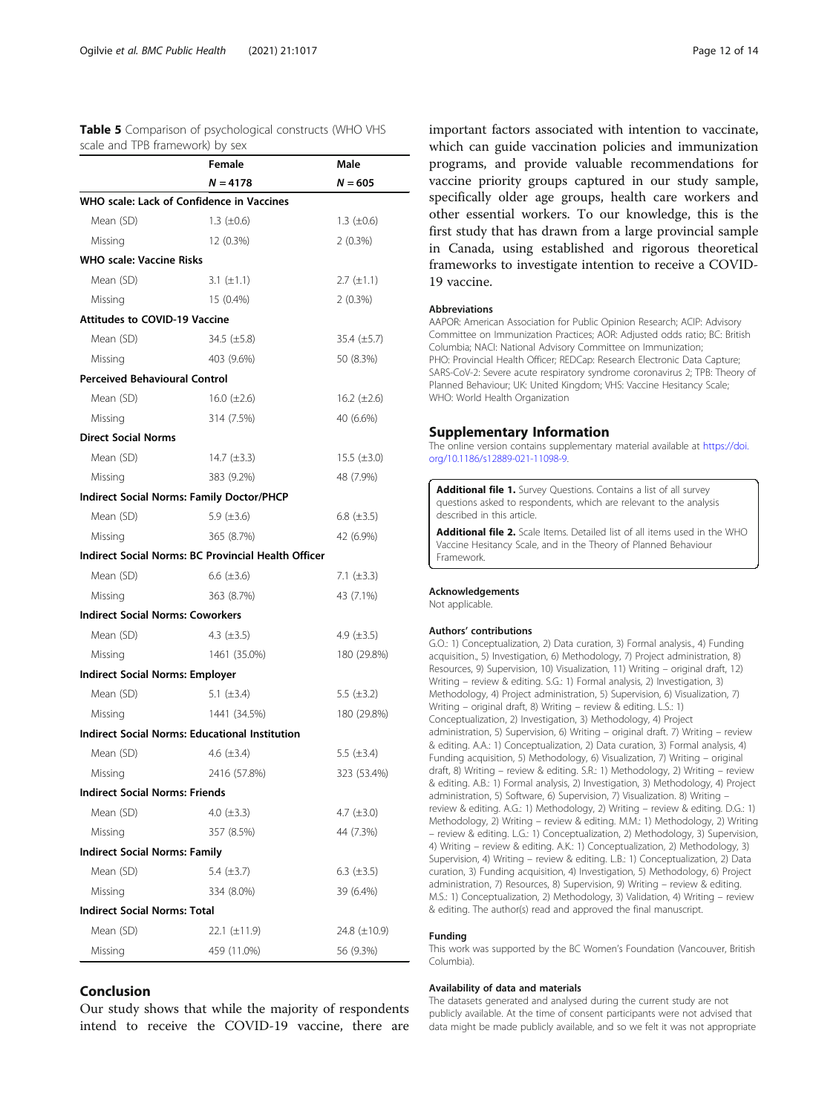<span id="page-11-0"></span>

| <b>Table 5</b> Comparison of psychological constructs (WHO VHS |  |  |
|----------------------------------------------------------------|--|--|
| scale and TPB framework) by sex                                |  |  |

|                                                       | Male             |                    |  |
|-------------------------------------------------------|------------------|--------------------|--|
|                                                       | $N = 4178$       | $N = 605$          |  |
| WHO scale: Lack of Confidence in Vaccines             |                  |                    |  |
| Mean (SD)                                             | 1.3 $(\pm 0.6)$  | 1.3 $(\pm 0.6)$    |  |
| Missing                                               | 12 (0.3%)        | 2(0.3%)            |  |
| <b>WHO scale: Vaccine Risks</b>                       |                  |                    |  |
| Mean (SD)                                             | 3.1 $(\pm 1.1)$  | $2.7 \ (\pm 1.1)$  |  |
| Missing                                               | 15 (0.4%)        | 2(0.3%)            |  |
| <b>Attitudes to COVID-19 Vaccine</b>                  |                  |                    |  |
| Mean (SD)                                             | 34.5 $(\pm 5.8)$ | 35.4 $(\pm 5.7)$   |  |
| Missing                                               | 403 (9.6%)       | 50 (8.3%)          |  |
| <b>Perceived Behavioural Control</b>                  |                  |                    |  |
| Mean (SD)                                             | 16.0 $(\pm 2.6)$ | 16.2 $(\pm 2.6)$   |  |
| Missing                                               | 314 (7.5%)       | 40 (6.6%)          |  |
| <b>Direct Social Norms</b>                            |                  |                    |  |
| Mean (SD)                                             | 14.7 $(\pm 3.3)$ | $15.5 \ (\pm 3.0)$ |  |
| Missing                                               | 383 (9.2%)       | 48 (7.9%)          |  |
| <b>Indirect Social Norms: Family Doctor/PHCP</b>      |                  |                    |  |
| Mean (SD)                                             | 5.9 $(\pm 3.6)$  | 6.8 $(\pm 3.5)$    |  |
| Missing                                               | 365 (8.7%)       | 42 (6.9%)          |  |
| Indirect Social Norms: BC Provincial Health Officer   |                  |                    |  |
| Mean (SD)                                             | 6.6 $(\pm 3.6)$  | 7.1 $(\pm 3.3)$    |  |
| Missing                                               | 363 (8.7%)       | 43 (7.1%)          |  |
| <b>Indirect Social Norms: Coworkers</b>               |                  |                    |  |
| Mean (SD)                                             | 4.3 $(\pm 3.5)$  | 4.9 $(\pm 3.5)$    |  |
| Missing                                               | 1461 (35.0%)     | 180 (29.8%)        |  |
| <b>Indirect Social Norms: Employer</b>                |                  |                    |  |
| Mean (SD)                                             | 5.1 $(\pm 3.4)$  | 5.5 $(\pm 3.2)$    |  |
| Missing                                               | 1441 (34.5%)     | 180 (29.8%)        |  |
| <b>Indirect Social Norms: Educational Institution</b> |                  |                    |  |
| Mean (SD)                                             | 4.6 $(\pm 3.4)$  | 5.5 $(\pm 3.4)$    |  |
| Missing                                               | 2416 (57.8%)     | 323 (53.4%)        |  |
| <b>Indirect Social Norms: Friends</b>                 |                  |                    |  |
| Mean (SD)                                             | 4.0 $(\pm 3.3)$  | 4.7 $(\pm 3.0)$    |  |
| Missing                                               | 357 (8.5%)       | 44 (7.3%)          |  |
| <b>Indirect Social Norms: Family</b>                  |                  |                    |  |
| Mean (SD)                                             | 5.4 $(\pm 3.7)$  | 6.3 $(\pm 3.5)$    |  |
| Missing                                               | 334 (8.0%)       | 39 (6.4%)          |  |
| <b>Indirect Social Norms: Total</b>                   |                  |                    |  |
| Mean (SD)                                             | 22.1 (±11.9)     | 24.8 (±10.9)       |  |
| Missing                                               | 459 (11.0%)      | 56 (9.3%)          |  |

# Conclusion

Our study shows that while the majority of respondents intend to receive the COVID-19 vaccine, there are

important factors associated with intention to vaccinate, which can guide vaccination policies and immunization programs, and provide valuable recommendations for vaccine priority groups captured in our study sample, specifically older age groups, health care workers and other essential workers. To our knowledge, this is the first study that has drawn from a large provincial sample in Canada, using established and rigorous theoretical frameworks to investigate intention to receive a COVID-19 vaccine.

#### Abbreviations

AAPOR: American Association for Public Opinion Research; ACIP: Advisory Committee on Immunization Practices; AOR: Adjusted odds ratio; BC: British Columbia; NACI: National Advisory Committee on Immunization; PHO: Provincial Health Officer; REDCap: Research Electronic Data Capture; SARS-CoV-2: Severe acute respiratory syndrome coronavirus 2; TPB: Theory of Planned Behaviour; UK: United Kingdom; VHS: Vaccine Hesitancy Scale; WHO: World Health Organization

#### Supplementary Information

The online version contains supplementary material available at [https://doi.](https://doi.org/10.1186/s12889-021-11098-9) [org/10.1186/s12889-021-11098-9.](https://doi.org/10.1186/s12889-021-11098-9)

Additional file 1. Survey Questions. Contains a list of all survey questions asked to respondents, which are relevant to the analysis described in this article.

Additional file 2. Scale Items. Detailed list of all items used in the WHO Vaccine Hesitancy Scale, and in the Theory of Planned Behaviour Framework.

#### Acknowledgements

Not applicable.

### Authors' contributions

G.O.: 1) Conceptualization, 2) Data curation, 3) Formal analysis., 4) Funding acquisition., 5) Investigation, 6) Methodology, 7) Project administration, 8) Resources, 9) Supervision, 10) Visualization, 11) Writing – original draft, 12) Writing – review & editing. S.G.: 1) Formal analysis, 2) Investigation, 3) Methodology, 4) Project administration, 5) Supervision, 6) Visualization, 7) Writing – original draft, 8) Writing – review & editing. L.S.: 1) Conceptualization, 2) Investigation, 3) Methodology, 4) Project administration, 5) Supervision, 6) Writing – original draft. 7) Writing – review & editing. A.A.: 1) Conceptualization, 2) Data curation, 3) Formal analysis, 4) Funding acquisition, 5) Methodology, 6) Visualization, 7) Writing – original draft, 8) Writing – review & editing. S.R.: 1) Methodology, 2) Writing – review & editing. A.B.: 1) Formal analysis, 2) Investigation, 3) Methodology, 4) Project administration, 5) Software, 6) Supervision, 7) Visualization. 8) Writing – review & editing. A.G.: 1) Methodology, 2) Writing – review & editing. D.G.: 1) Methodology, 2) Writing – review & editing. M.M.: 1) Methodology, 2) Writing – review & editing. L.G.: 1) Conceptualization, 2) Methodology, 3) Supervision, 4) Writing – review & editing. A.K.: 1) Conceptualization, 2) Methodology, 3) Supervision, 4) Writing – review & editing. L.B.: 1) Conceptualization, 2) Data curation, 3) Funding acquisition, 4) Investigation, 5) Methodology, 6) Project administration, 7) Resources, 8) Supervision, 9) Writing – review & editing. M.S.: 1) Conceptualization, 2) Methodology, 3) Validation, 4) Writing – review & editing. The author(s) read and approved the final manuscript.

#### Funding

This work was supported by the BC Women's Foundation (Vancouver, British Columbia).

#### Availability of data and materials

The datasets generated and analysed during the current study are not publicly available. At the time of consent participants were not advised that data might be made publicly available, and so we felt it was not appropriate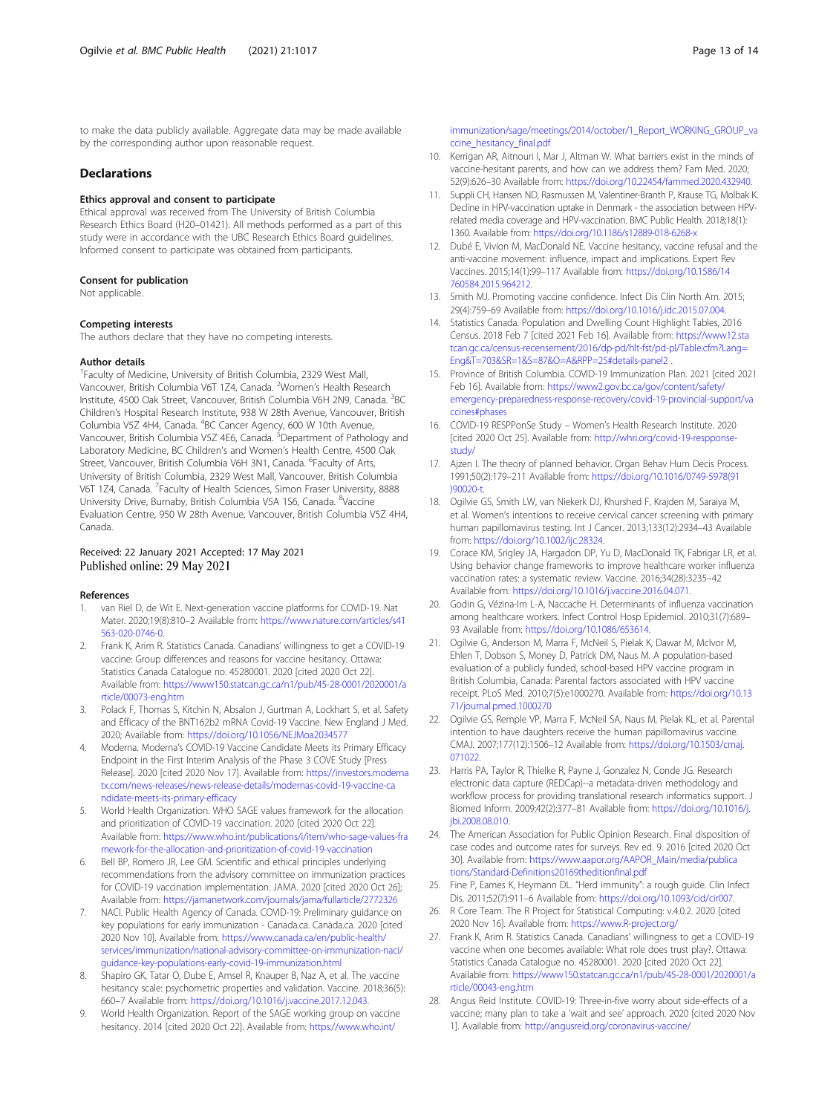<span id="page-12-0"></span>to make the data publicly available. Aggregate data may be made available by the corresponding author upon reasonable request.

# **Declarations**

### Ethics approval and consent to participate

Ethical approval was received from The University of British Columbia Research Ethics Board (H20–01421). All methods performed as a part of this study were in accordance with the UBC Research Ethics Board guidelines. Informed consent to participate was obtained from participants.

#### Consent for publication

Not applicable.

# Competing interests

The authors declare that they have no competing interests.

#### Author details

<sup>1</sup> Faculty of Medicine, University of British Columbia, 2329 West Mall, Vancouver, British Columbia V6T 1Z4, Canada. <sup>2</sup>Women's Health Research Institute, 4500 Oak Street, Vancouver, British Columbia V6H 2N9, Canada. <sup>3</sup>BC Children's Hospital Research Institute, 938 W 28th Avenue, Vancouver, British Columbia V5Z 4H4, Canada. <sup>4</sup>BC Cancer Agency, 600 W 10th Avenue, Vancouver, British Columbia V5Z 4E6, Canada. <sup>5</sup>Department of Pathology and Laboratory Medicine, BC Children's and Women's Health Centre, 4500 Oak Street, Vancouver, British Columbia V6H 3N1, Canada. <sup>6</sup>Faculty of Arts, University of British Columbia, 2329 West Mall, Vancouver, British Columbia V6T 1Z4, Canada. <sup>7</sup>Faculty of Health Sciences, Simon Fraser University, 8888 University Drive, Burnaby, British Columbia V5A 1S6, Canada. <sup>8</sup>Vaccine Evaluation Centre, 950 W 28th Avenue, Vancouver, British Columbia V5Z 4H4, Canada.

# Received: 22 January 2021 Accepted: 17 May 2021 Published online: 29 May 2021

### References

- van Riel D, de Wit E. Next-generation vaccine platforms for COVID-19. Nat Mater. 2020;19(8):810–2 Available from: [https://www.nature.com/articles/s41](https://www.nature.com/articles/s41563-020-0746-0) [563-020-0746-0](https://www.nature.com/articles/s41563-020-0746-0).
- 2. Frank K, Arim R. Statistics Canada. Canadians' willingness to get a COVID-19 vaccine: Group differences and reasons for vaccine hesitancy. Ottawa: Statistics Canada Catalogue no. 45280001. 2020 [cited 2020 Oct 22]. Available from: [https://www150.statcan.gc.ca/n1/pub/45-28-0001/2020001/a](https://www150.statcan.gc.ca/n1/pub/45-28-0001/2020001/article/00073-eng.htm) [rticle/00073-eng.htm](https://www150.statcan.gc.ca/n1/pub/45-28-0001/2020001/article/00073-eng.htm)
- 3. Polack F, Thomas S, Kitchin N, Absalon J, Gurtman A, Lockhart S, et al. Safety and Efficacy of the BNT162b2 mRNA Covid-19 Vaccine. New England J Med. 2020; Available from: <https://doi.org/10.1056/NEJMoa2034577>
- 4. Moderna. Moderna's COVID-19 Vaccine Candidate Meets its Primary Efficacy Endpoint in the First Interim Analysis of the Phase 3 COVE Study [Press Release]. 2020 [cited 2020 Nov 17]. Available from: [https://investors.moderna](https://investors.modernatx.com/news-releases/news-release-details/modernas-covid-19-vaccine-candidate-meets-its-primary-efficacy) [tx.com/news-releases/news-release-details/modernas-covid-19-vaccine-ca](https://investors.modernatx.com/news-releases/news-release-details/modernas-covid-19-vaccine-candidate-meets-its-primary-efficacy) [ndidate-meets-its-primary-efficacy](https://investors.modernatx.com/news-releases/news-release-details/modernas-covid-19-vaccine-candidate-meets-its-primary-efficacy)
- 5. World Health Organization. WHO SAGE values framework for the allocation and prioritization of COVID-19 vaccination. 2020 [cited 2020 Oct 22]. Available from: [https://www.who.int/publications/i/item/who-sage-values-fra](https://www.who.int/publications/i/item/who-sage-values-framework-for-the-allocation-and-prioritization-of-covid-19-vaccination) [mework-for-the-allocation-and-prioritization-of-covid-19-vaccination](https://www.who.int/publications/i/item/who-sage-values-framework-for-the-allocation-and-prioritization-of-covid-19-vaccination)
- 6. Bell BP, Romero JR, Lee GM. Scientific and ethical principles underlying recommendations from the advisory committee on immunization practices for COVID-19 vaccination implementation. JAMA. 2020 [cited 2020 Oct 26]; Available from: <https://jamanetwork.com/journals/jama/fullarticle/2772326>
- 7. NACI. Public Health Agency of Canada. COVID-19: Preliminary guidance on key populations for early immunization - Canada.ca. Canada.ca. 2020 [cited 2020 Nov 10]. Available from: [https://www.canada.ca/en/public-health/](https://www.canada.ca/en/public-health/services/immunization/national-advisory-committee-on-immunization-naci/guidance-key-populations-early-covid-19-immunization.html) [services/immunization/national-advisory-committee-on-immunization-naci/](https://www.canada.ca/en/public-health/services/immunization/national-advisory-committee-on-immunization-naci/guidance-key-populations-early-covid-19-immunization.html) [guidance-key-populations-early-covid-19-immunization.html](https://www.canada.ca/en/public-health/services/immunization/national-advisory-committee-on-immunization-naci/guidance-key-populations-early-covid-19-immunization.html)
- Shapiro GK, Tatar O, Dube E, Amsel R, Knauper B, Naz A, et al. The vaccine hesitancy scale: psychometric properties and validation. Vaccine. 2018;36(5): 660–7 Available from: [https://doi.org/10.1016/j.vaccine.2017.12.043.](https://doi.org/10.1016/j.vaccine.2017.12.043)
- World Health Organization. Report of the SAGE working group on vaccine hesitancy. 2014 [cited 2020 Oct 22]. Available from: [https://www.who.int/](https://www.who.int/immunization/sage/meetings/2014/october/1_Report_WORKING_GROUP_vaccine_hesitancy_final.pdf)

[immunization/sage/meetings/2014/october/1\\_Report\\_WORKING\\_GROUP\\_va](https://www.who.int/immunization/sage/meetings/2014/october/1_Report_WORKING_GROUP_vaccine_hesitancy_final.pdf) [ccine\\_hesitancy\\_final.pdf](https://www.who.int/immunization/sage/meetings/2014/october/1_Report_WORKING_GROUP_vaccine_hesitancy_final.pdf)

- 10. Kerrigan AR, Aitnouri I, Mar J, Altman W. What barriers exist in the minds of vaccine-hesitant parents, and how can we address them? Fam Med. 2020; 52(9):626–30 Available from: <https://doi.org/10.22454/fammed.2020.432940>.
- 11. Suppli CH, Hansen ND, Rasmussen M, Valentiner-Branth P, Krause TG, Molbak K. Decline in HPV-vaccination uptake in Denmark - the association between HPVrelated media coverage and HPV-vaccination. BMC Public Health. 2018;18(1): 1360. Available from: <https://doi.org/10.1186/s12889-018-6268-x>
- 12. Dubé E, Vivion M, MacDonald NE. Vaccine hesitancy, vaccine refusal and the anti-vaccine movement: influence, impact and implications. Expert Rev Vaccines. 2015;14(1):99–117 Available from: [https://doi.org/10.1586/14](https://doi.org/10.1586/14760584.2015.964212) [760584.2015.964212.](https://doi.org/10.1586/14760584.2015.964212)
- 13. Smith MJ. Promoting vaccine confidence. Infect Dis Clin North Am. 2015; 29(4):759–69 Available from: [https://doi.org/10.1016/j.idc.2015.07.004.](https://doi.org/10.1016/j.idc.2015.07.004)
- 14. Statistics Canada. Population and Dwelling Count Highlight Tables, 2016 Census. 2018 Feb 7 [cited 2021 Feb 16]. Available from: [https://www12.sta](https://www12.statcan.gc.ca/census-recensement/2016/dp-pd/hlt-fst/pd-pl/Table.cfm?Lang=Eng&T=703&SR=1&S=87&O=A&RPP=25#details-panel2) [tcan.gc.ca/census-recensement/2016/dp-pd/hlt-fst/pd-pl/Table.cfm?Lang=](https://www12.statcan.gc.ca/census-recensement/2016/dp-pd/hlt-fst/pd-pl/Table.cfm?Lang=Eng&T=703&SR=1&S=87&O=A&RPP=25#details-panel2) [Eng&T=703&SR=1&S=87&O=A&RPP=25#details-panel2](https://www12.statcan.gc.ca/census-recensement/2016/dp-pd/hlt-fst/pd-pl/Table.cfm?Lang=Eng&T=703&SR=1&S=87&O=A&RPP=25#details-panel2) .
- 15. Province of British Columbia. COVID-19 Immunization Plan. 2021 [cited 2021 Feb 16]. Available from: [https://www2.gov.bc.ca/gov/content/safety/](https://www2.gov.bc.ca/gov/content/safety/emergency-preparedness-response-recovery/covid-19-provincial-support/vaccines#phases) [emergency-preparedness-response-recovery/covid-19-provincial-support/va](https://www2.gov.bc.ca/gov/content/safety/emergency-preparedness-response-recovery/covid-19-provincial-support/vaccines#phases) [ccines#phases](https://www2.gov.bc.ca/gov/content/safety/emergency-preparedness-response-recovery/covid-19-provincial-support/vaccines#phases)
- 16. COVID-19 RESPPonSe Study Women's Health Research Institute. 2020 [cited 2020 Oct 25]. Available from: [http://whri.org/covid-19-respponse](http://whri.org/covid-19-respponse-study/)[study/](http://whri.org/covid-19-respponse-study/)
- 17. Aizen I. The theory of planned behavior. Organ Behay Hum Decis Process. 1991;50(2):179–211 Available from: [https://doi.org/10.1016/0749-5978\(91](https://doi.org/10.1016/0749-5978(91)90020-t) [\)90020-t.](https://doi.org/10.1016/0749-5978(91)90020-t)
- 18. Ogilvie GS, Smith LW, van Niekerk DJ, Khurshed F, Krajden M, Saraiya M, et al. Women's intentions to receive cervical cancer screening with primary human papillomavirus testing. Int J Cancer. 2013;133(12):2934–43 Available from: <https://doi.org/10.1002/ijc.28324>.
- 19. Corace KM, Srigley JA, Hargadon DP, Yu D, MacDonald TK, Fabrigar LR, et al. Using behavior change frameworks to improve healthcare worker influenza vaccination rates: a systematic review. Vaccine. 2016;34(28):3235–42 Available from: [https://doi.org/10.1016/j.vaccine.2016.04.071.](https://doi.org/10.1016/j.vaccine.2016.04.071)
- 20. Godin G, Vézina-Im L-A, Naccache H. Determinants of influenza vaccination among healthcare workers. Infect Control Hosp Epidemiol. 2010;31(7):689– 93 Available from: [https://doi.org/10.1086/653614.](https://doi.org/10.1086/653614)
- 21. Ogilvie G, Anderson M, Marra F, McNeil S, Pielak K, Dawar M, McIvor M, Ehlen T, Dobson S, Money D, Patrick DM, Naus M. A population-based evaluation of a publicly funded, school-based HPV vaccine program in British Columbia, Canada: Parental factors associated with HPV vaccine receipt. PLoS Med. 2010;7(5):e1000270. Available from: [https://doi.org/10.13](https://doi.org/10.1371/journal.pmed.1000270) [71/journal.pmed.1000270](https://doi.org/10.1371/journal.pmed.1000270)
- 22. Ogilvie GS, Remple VP, Marra F, McNeil SA, Naus M, Pielak KL, et al. Parental intention to have daughters receive the human papillomavirus vaccine. CMAJ. 2007;177(12):1506–12 Available from: [https://doi.org/10.1503/cmaj.](https://doi.org/10.1503/cmaj.071022) [071022](https://doi.org/10.1503/cmaj.071022)
- 23. Harris PA, Taylor R, Thielke R, Payne J, Gonzalez N, Conde JG. Research electronic data capture (REDCap)--a metadata-driven methodology and workflow process for providing translational research informatics support. J Biomed Inform. 2009;42(2):377–81 Available from: [https://doi.org/10.1016/j.](https://doi.org/10.1016/j.jbi.2008.08.010) [jbi.2008.08.010.](https://doi.org/10.1016/j.jbi.2008.08.010)
- 24. The American Association for Public Opinion Research. Final disposition of case codes and outcome rates for surveys. Rev ed. 9. 2016 [cited 2020 Oct 30]. Available from: [https://www.aapor.org/AAPOR\\_Main/media/publica](https://www.aapor.org/AAPOR_Main/media/publications/Standard-Definitions20169theditionfinal.pdf) [tions/Standard-Definitions20169theditionfinal.pdf](https://www.aapor.org/AAPOR_Main/media/publications/Standard-Definitions20169theditionfinal.pdf)
- 25. Fine P, Eames K, Heymann DL. "Herd immunity": a rough guide. Clin Infect Dis. 2011;52(7):911–6 Available from: <https://doi.org/10.1093/cid/cir007>.
- 26. R Core Team. The R Project for Statistical Computing: v.4.0.2. 2020 [cited 2020 Nov 16]. Available from: [https://www.R-project.org/](https://www.r-project.org/)
- 27. Frank K, Arim R. Statistics Canada. Canadians' willingness to get a COVID-19 vaccine when one becomes available: What role does trust play?. Ottawa: Statistics Canada Catalogue no. 45280001. 2020 [cited 2020 Oct 22]. Available from: [https://www150.statcan.gc.ca/n1/pub/45-28-0001/2020001/a](https://www150.statcan.gc.ca/n1/pub/45-28-0001/2020001/article/00043-eng.htm) [rticle/00043-eng.htm](https://www150.statcan.gc.ca/n1/pub/45-28-0001/2020001/article/00043-eng.htm)
- 28. Angus Reid Institute. COVID-19: Three-in-five worry about side-effects of a vaccine; many plan to take a 'wait and see' approach. 2020 [cited 2020 Nov 1]. Available from: <http://angusreid.org/coronavirus-vaccine/>